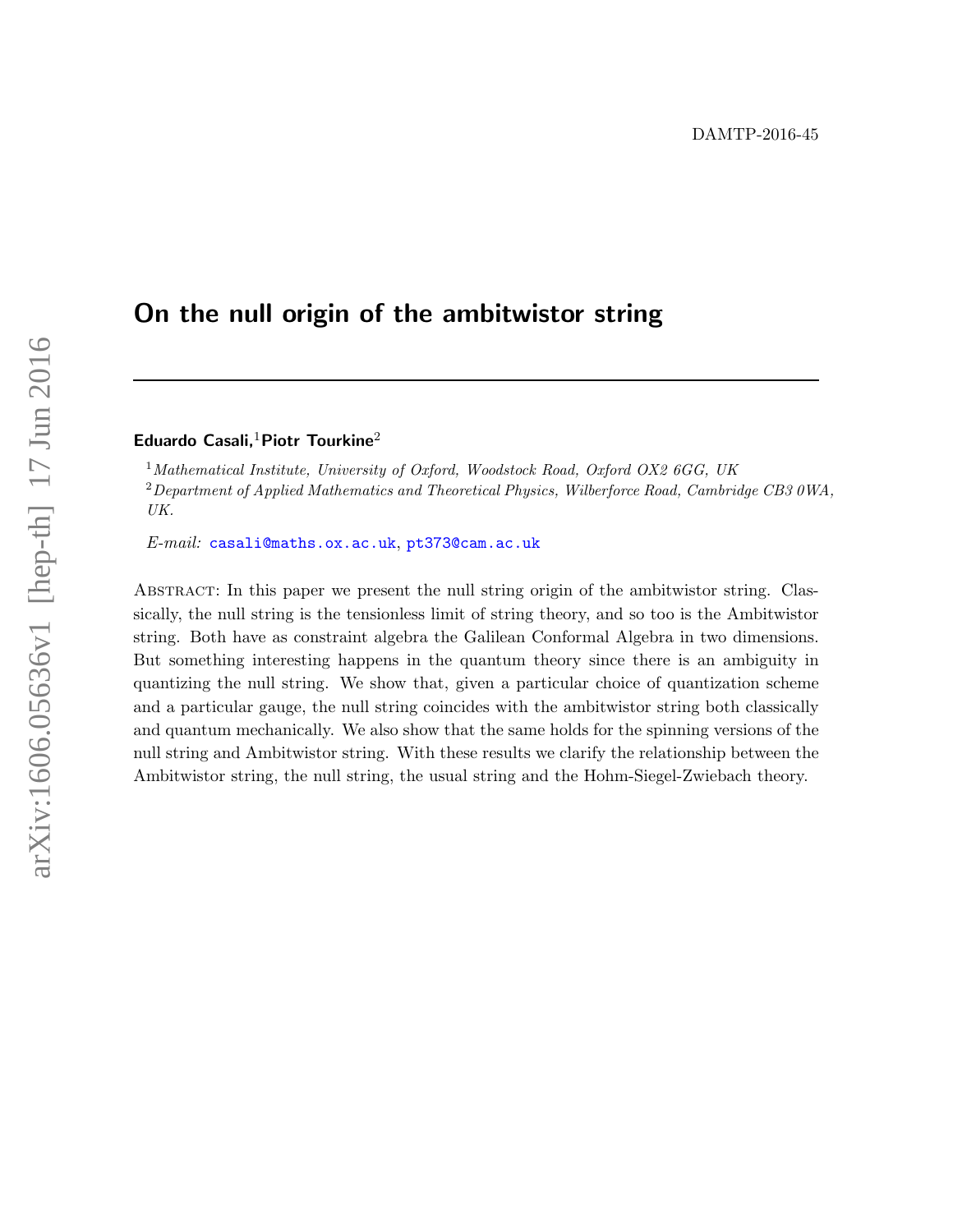# On the null origin of the ambitwistor string

# Eduardo Casali,<sup>1</sup>Piotr Tourkine<sup>2</sup>

<sup>1</sup>Mathematical Institute, University of Oxford, Woodstock Road, Oxford OX2 6GG, UK <sup>2</sup>Department of Applied Mathematics and Theoretical Physics, Wilberforce Road, Cambridge CB3 0WA, UK.

E-mail: [casali@maths.ox.ac.uk](mailto:casali@maths.ox.ac.uk), [pt373@cam.ac.uk](mailto:pt373@cam.ac.uk)

Abstract: In this paper we present the null string origin of the ambitwistor string. Classically, the null string is the tensionless limit of string theory, and so too is the Ambitwistor string. Both have as constraint algebra the Galilean Conformal Algebra in two dimensions. But something interesting happens in the quantum theory since there is an ambiguity in quantizing the null string. We show that, given a particular choice of quantization scheme and a particular gauge, the null string coincides with the ambitwistor string both classically and quantum mechanically. We also show that the same holds for the spinning versions of the null string and Ambitwistor string. With these results we clarify the relationship between the Ambitwistor string, the null string, the usual string and the Hohm-Siegel-Zwiebach theory.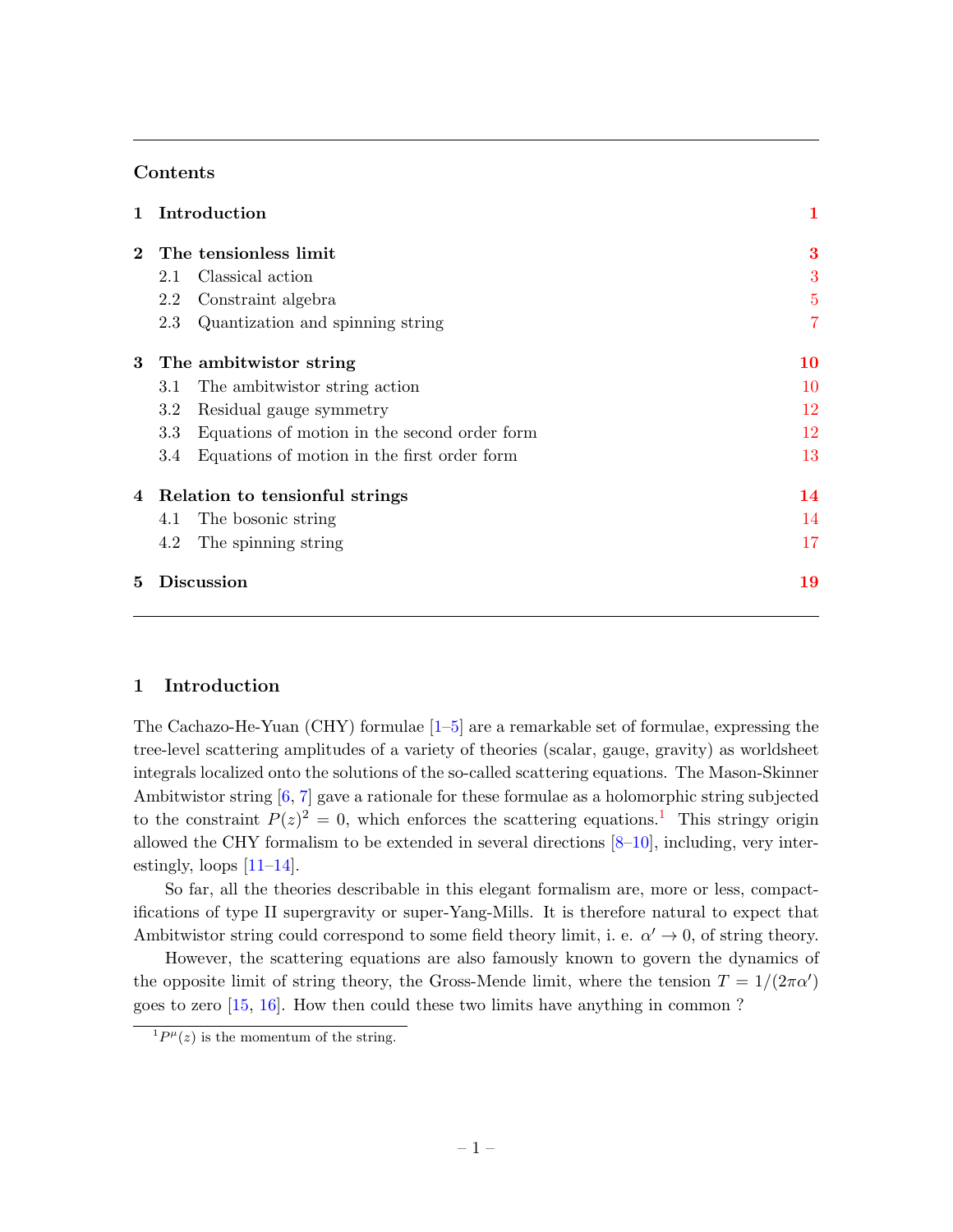# Contents

|       | Introduction                                        | $\mathbf 1$    |
|-------|-----------------------------------------------------|----------------|
|       | The tensionless limit                               | 3              |
|       | Classical action<br>2.1                             | 3              |
|       | Constraint algebra<br>2.2                           | $\overline{5}$ |
|       | 2.3<br>Quantization and spinning string             | $\overline{7}$ |
| $3 -$ | The ambitwistor string                              | 10             |
|       | The ambitwistor string action<br>3.1                | 10             |
|       | 3.2<br>Residual gauge symmetry                      | 12             |
|       | 3.3<br>Equations of motion in the second order form | 12             |
|       | Equations of motion in the first order form<br>3.4  | 13             |
| 4     | Relation to tensionful strings                      | 14             |
|       | The bosonic string<br>4.1                           | 14             |
|       | 4.2<br>The spinning string                          | 17             |
| 5     | Discussion                                          | 19             |

## <span id="page-1-0"></span>1 Introduction

The Cachazo-He-Yuan (CHY) formulae  $[1–5]$  $[1–5]$  are a remarkable set of formulae, expressing the tree-level scattering amplitudes of a variety of theories (scalar, gauge, gravity) as worldsheet integrals localized onto the solutions of the so-called scattering equations. The Mason-Skinner Ambitwistor string [\[6,](#page-19-3) [7\]](#page-19-4) gave a rationale for these formulae as a holomorphic string subjected to the constraint  $P(z)^2 = 0$ , which enforces the scattering equations.<sup>[1](#page-1-1)</sup> This stringy origin allowed the CHY formalism to be extended in several directions  $[8-10]$  $[8-10]$ , including, very interestingly, loops  $[11-14]$  $[11-14]$ .

So far, all the theories describable in this elegant formalism are, more or less, compactifications of type II supergravity or super-Yang-Mills. It is therefore natural to expect that Ambitwistor string could correspond to some field theory limit, i. e.  $\alpha' \to 0$ , of string theory.

However, the scattering equations are also famously known to govern the dynamics of the opposite limit of string theory, the Gross-Mende limit, where the tension  $T = 1/(2\pi\alpha')$ goes to zero [\[15,](#page-20-4) [16\]](#page-20-5). How then could these two limits have anything in common ?

<span id="page-1-1"></span> ${}^{1}P^{\mu}(z)$  is the momentum of the string.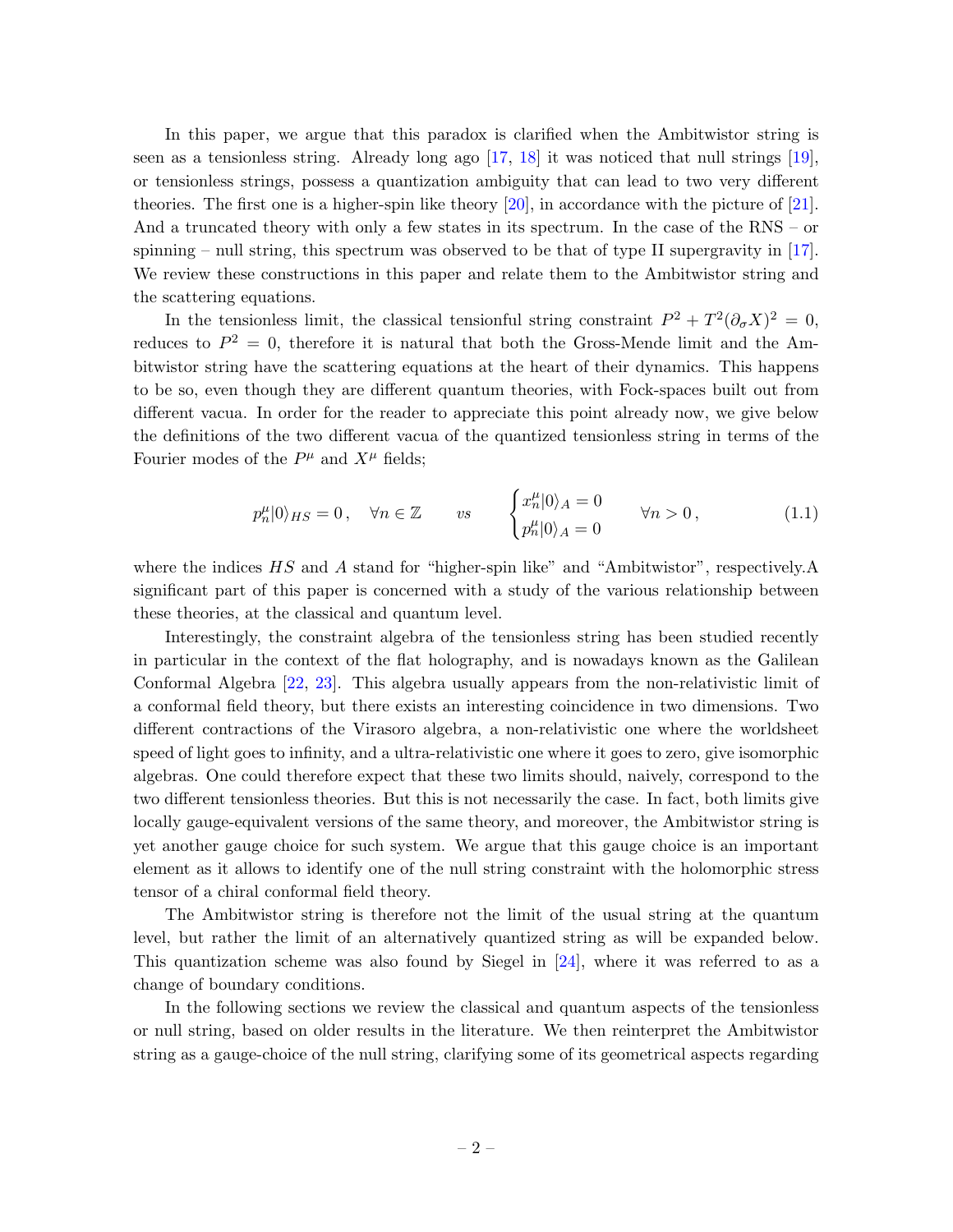In this paper, we argue that this paradox is clarified when the Ambitwistor string is seen as a tensionless string. Already long ago  $[17, 18]$  $[17, 18]$  $[17, 18]$  it was noticed that null strings  $[19]$ , or tensionless strings, possess a quantization ambiguity that can lead to two very different theories. The first one is a higher-spin like theory [\[20\]](#page-20-9), in accordance with the picture of [\[21\]](#page-20-10). And a truncated theory with only a few states in its spectrum. In the case of the RNS – or spinning – null string, this spectrum was observed to be that of type II supergravity in  $[17]$ . We review these constructions in this paper and relate them to the Ambitwistor string and the scattering equations.

In the tensionless limit, the classical tensionful string constraint  $P^2 + T^2 (\partial_{\sigma} X)^2 = 0$ , reduces to  $P^2 = 0$ , therefore it is natural that both the Gross-Mende limit and the Ambitwistor string have the scattering equations at the heart of their dynamics. This happens to be so, even though they are different quantum theories, with Fock-spaces built out from different vacua. In order for the reader to appreciate this point already now, we give below the definitions of the two different vacua of the quantized tensionless string in terms of the Fourier modes of the  $P^{\mu}$  and  $X^{\mu}$  fields;

$$
p_n^{\mu}|0\rangle_{HS} = 0, \quad \forall n \in \mathbb{Z} \qquad vs \qquad \begin{cases} x_n^{\mu}|0\rangle_A = 0 & \forall n > 0, \\ p_n^{\mu}|0\rangle_A = 0 & \forall n > 0, \end{cases}
$$
 (1.1)

where the indices HS and A stand for "higher-spin like" and "Ambitwistor", respectively.A significant part of this paper is concerned with a study of the various relationship between these theories, at the classical and quantum level.

Interestingly, the constraint algebra of the tensionless string has been studied recently in particular in the context of the flat holography, and is nowadays known as the Galilean Conformal Algebra [\[22,](#page-20-11) [23\]](#page-20-12). This algebra usually appears from the non-relativistic limit of a conformal field theory, but there exists an interesting coincidence in two dimensions. Two different contractions of the Virasoro algebra, a non-relativistic one where the worldsheet speed of light goes to infinity, and a ultra-relativistic one where it goes to zero, give isomorphic algebras. One could therefore expect that these two limits should, naively, correspond to the two different tensionless theories. But this is not necessarily the case. In fact, both limits give locally gauge-equivalent versions of the same theory, and moreover, the Ambitwistor string is yet another gauge choice for such system. We argue that this gauge choice is an important element as it allows to identify one of the null string constraint with the holomorphic stress tensor of a chiral conformal field theory.

The Ambitwistor string is therefore not the limit of the usual string at the quantum level, but rather the limit of an alternatively quantized string as will be expanded below. This quantization scheme was also found by Siegel in [\[24\]](#page-20-13), where it was referred to as a change of boundary conditions.

In the following sections we review the classical and quantum aspects of the tensionless or null string, based on older results in the literature. We then reinterpret the Ambitwistor string as a gauge-choice of the null string, clarifying some of its geometrical aspects regarding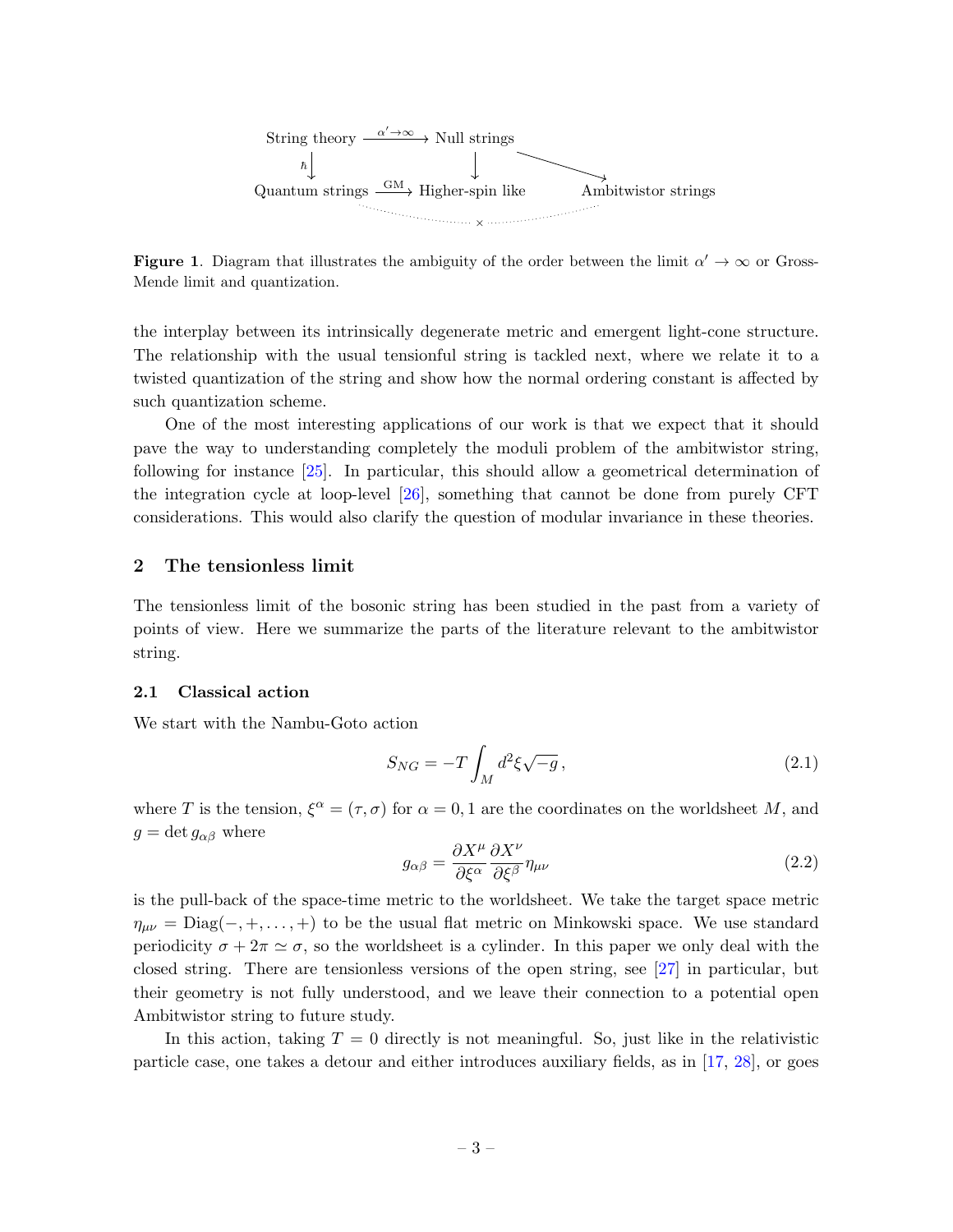

**Figure 1.** Diagram that illustrates the ambiguity of the order between the limit  $\alpha' \to \infty$  or Gross-Mende limit and quantization.

the interplay between its intrinsically degenerate metric and emergent light-cone structure. The relationship with the usual tensionful string is tackled next, where we relate it to a twisted quantization of the string and show how the normal ordering constant is affected by such quantization scheme.

One of the most interesting applications of our work is that we expect that it should pave the way to understanding completely the moduli problem of the ambitwistor string, following for instance [\[25\]](#page-20-14). In particular, this should allow a geometrical determination of the integration cycle at loop-level [\[26\]](#page-20-15), something that cannot be done from purely CFT considerations. This would also clarify the question of modular invariance in these theories.

## <span id="page-3-0"></span>2 The tensionless limit

The tensionless limit of the bosonic string has been studied in the past from a variety of points of view. Here we summarize the parts of the literature relevant to the ambitwistor string.

#### <span id="page-3-1"></span>2.1 Classical action

We start with the Nambu-Goto action

<span id="page-3-2"></span>
$$
S_{NG} = -T \int_M d^2 \xi \sqrt{-g} \,, \tag{2.1}
$$

where T is the tension,  $\xi^{\alpha} = (\tau, \sigma)$  for  $\alpha = 0, 1$  are the coordinates on the worldsheet M, and  $g = \det g_{\alpha\beta}$  where

$$
g_{\alpha\beta} = \frac{\partial X^{\mu}}{\partial \xi^{\alpha}} \frac{\partial X^{\nu}}{\partial \xi^{\beta}} \eta_{\mu\nu}
$$
\n(2.2)

is the pull-back of the space-time metric to the worldsheet. We take the target space metric  $\eta_{\mu\nu} = \text{Diag}(-, +, \dots, +)$  to be the usual flat metric on Minkowski space. We use standard periodicity  $\sigma + 2\pi \simeq \sigma$ , so the worldsheet is a cylinder. In this paper we only deal with the closed string. There are tensionless versions of the open string, see [\[27\]](#page-20-16) in particular, but their geometry is not fully understood, and we leave their connection to a potential open Ambitwistor string to future study.

In this action, taking  $T = 0$  directly is not meaningful. So, just like in the relativistic particle case, one takes a detour and either introduces auxiliary fields, as in [\[17,](#page-20-6) [28\]](#page-20-17), or goes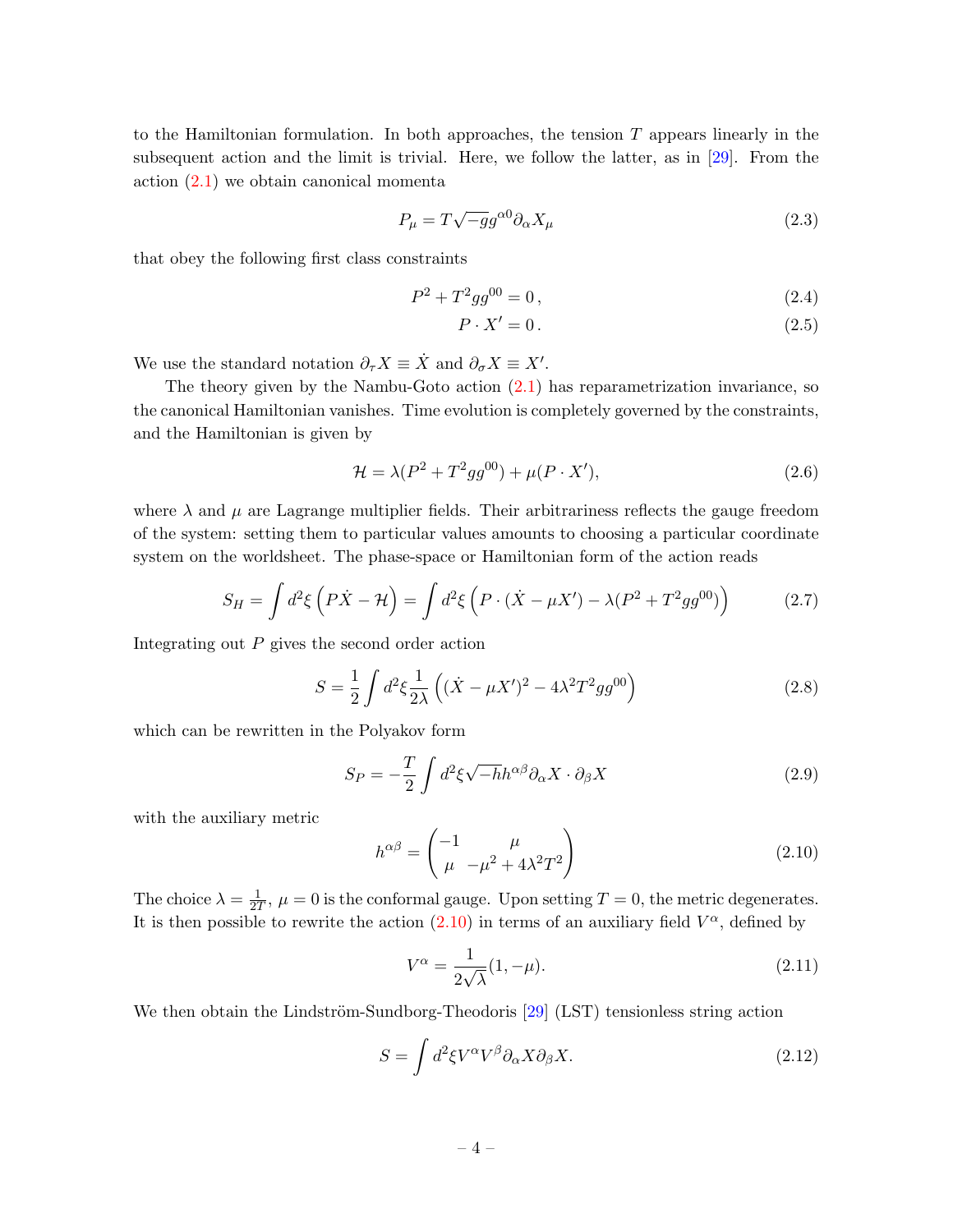to the Hamiltonian formulation. In both approaches, the tension  $T$  appears linearly in the subsequent action and the limit is trivial. Here, we follow the latter, as in [\[29\]](#page-21-0). From the action [\(2.1\)](#page-3-2) we obtain canonical momenta

$$
P_{\mu} = T\sqrt{-g}g^{\alpha 0}\partial_{\alpha}X_{\mu}
$$
\n(2.3)

that obey the following first class constraints

$$
P^2 + T^2 g g^{00} = 0, \t\t(2.4)
$$

<span id="page-4-1"></span>
$$
P \cdot X' = 0. \tag{2.5}
$$

We use the standard notation  $\partial_{\tau} X \equiv \dot{X}$  and  $\partial_{\sigma} X \equiv X'$ .

The theory given by the Nambu-Goto action  $(2.1)$  has reparametrization invariance, so the canonical Hamiltonian vanishes. Time evolution is completely governed by the constraints, and the Hamiltonian is given by

$$
\mathcal{H} = \lambda (P^2 + T^2 g g^{00}) + \mu (P \cdot X'), \tag{2.6}
$$

where  $\lambda$  and  $\mu$  are Lagrange multiplier fields. Their arbitrariness reflects the gauge freedom of the system: setting them to particular values amounts to choosing a particular coordinate system on the worldsheet. The phase-space or Hamiltonian form of the action reads

$$
S_H = \int d^2 \xi \left( P \dot{X} - \mathcal{H} \right) = \int d^2 \xi \left( P \cdot (\dot{X} - \mu X') - \lambda (P^2 + T^2 g g^{00}) \right) \tag{2.7}
$$

Integrating out P gives the second order action

$$
S = \frac{1}{2} \int d^2 \xi \frac{1}{2\lambda} \left( (\dot{X} - \mu X')^2 - 4\lambda^2 T^2 g g^{00} \right)
$$
 (2.8)

which can be rewritten in the Polyakov form

$$
S_P = -\frac{T}{2} \int d^2 \xi \sqrt{-h} h^{\alpha \beta} \partial_{\alpha} X \cdot \partial_{\beta} X \tag{2.9}
$$

with the auxiliary metric

<span id="page-4-0"></span>
$$
h^{\alpha\beta} = \begin{pmatrix} -1 & \mu \\ \mu & -\mu^2 + 4\lambda^2 T^2 \end{pmatrix}
$$
 (2.10)

The choice  $\lambda = \frac{1}{27}$  $\frac{1}{2T}$ ,  $\mu = 0$  is the conformal gauge. Upon setting  $T = 0$ , the metric degenerates. It is then possible to rewrite the action  $(2.10)$  in terms of an auxiliary field  $V^{\alpha}$ , defined by

<span id="page-4-2"></span>
$$
V^{\alpha} = \frac{1}{2\sqrt{\lambda}}(1, -\mu). \tag{2.11}
$$

We then obtain the Lindström-Sundborg-Theodoris  $[29]$  (LST) tensionless string action

<span id="page-4-3"></span>
$$
S = \int d^2 \xi V^\alpha V^\beta \partial_\alpha X \partial_\beta X. \tag{2.12}
$$

$$
-4-
$$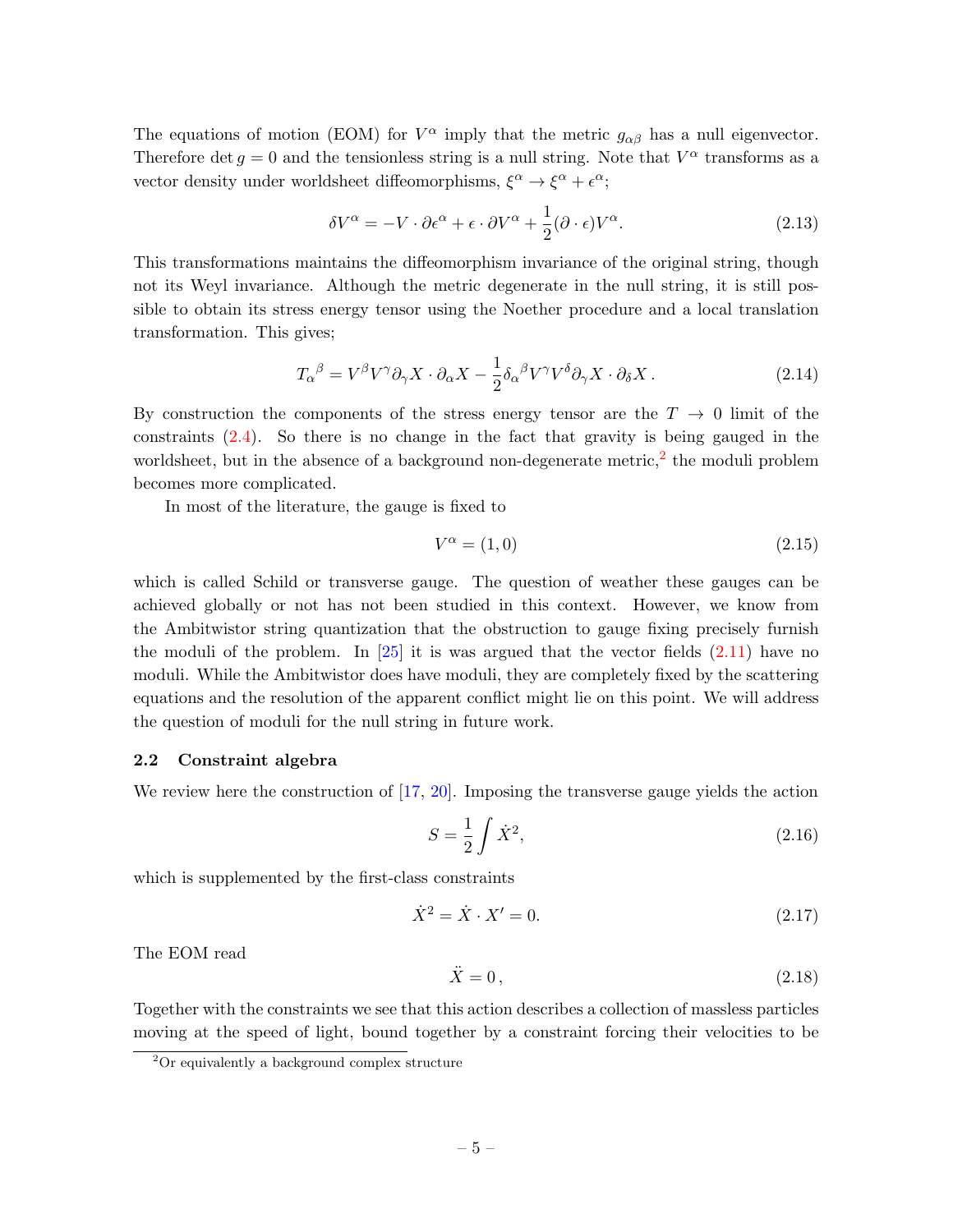The equations of motion (EOM) for  $V^{\alpha}$  imply that the metric  $g_{\alpha\beta}$  has a null eigenvector. Therefore det  $g = 0$  and the tensionless string is a null string. Note that  $V^{\alpha}$  transforms as a vector density under worldsheet diffeomorphisms,  $\xi^{\alpha} \rightarrow \xi^{\alpha} + \epsilon^{\alpha}$ ;

$$
\delta V^{\alpha} = -V \cdot \partial \epsilon^{\alpha} + \epsilon \cdot \partial V^{\alpha} + \frac{1}{2} (\partial \cdot \epsilon) V^{\alpha}.
$$
 (2.13)

This transformations maintains the diffeomorphism invariance of the original string, though not its Weyl invariance. Although the metric degenerate in the null string, it is still possible to obtain its stress energy tensor using the Noether procedure and a local translation transformation. This gives;

<span id="page-5-2"></span>
$$
T_{\alpha}{}^{\beta} = V^{\beta}V^{\gamma}\partial_{\gamma}X \cdot \partial_{\alpha}X - \frac{1}{2}\delta_{\alpha}{}^{\beta}V^{\gamma}V^{\delta}\partial_{\gamma}X \cdot \partial_{\delta}X. \qquad (2.14)
$$

By construction the components of the stress energy tensor are the  $T \to 0$  limit of the constraints [\(2.4\)](#page-4-1). So there is no change in the fact that gravity is being gauged in the worldsheet, but in the absence of a background non-degenerate metric,<sup>[2](#page-5-1)</sup> the moduli problem becomes more complicated.

In most of the literature, the gauge is fixed to

$$
V^{\alpha} = (1,0) \tag{2.15}
$$

which is called Schild or transverse gauge. The question of weather these gauges can be achieved globally or not has not been studied in this context. However, we know from the Ambitwistor string quantization that the obstruction to gauge fixing precisely furnish the moduli of the problem. In  $[25]$  it is was argued that the vector fields  $(2.11)$  have no moduli. While the Ambitwistor does have moduli, they are completely fixed by the scattering equations and the resolution of the apparent conflict might lie on this point. We will address the question of moduli for the null string in future work.

## <span id="page-5-0"></span>2.2 Constraint algebra

We review here the construction of [\[17,](#page-20-6) [20\]](#page-20-9). Imposing the transverse gauge yields the action

$$
S = \frac{1}{2} \int \dot{X}^2,\tag{2.16}
$$

which is supplemented by the first-class constraints

$$
\dot{X}^2 = \dot{X} \cdot X' = 0. \tag{2.17}
$$

The EOM read

$$
\ddot{X} = 0, \tag{2.18}
$$

Together with the constraints we see that this action describes a collection of massless particles moving at the speed of light, bound together by a constraint forcing their velocities to be

<span id="page-5-1"></span><sup>2</sup>Or equivalently a background complex structure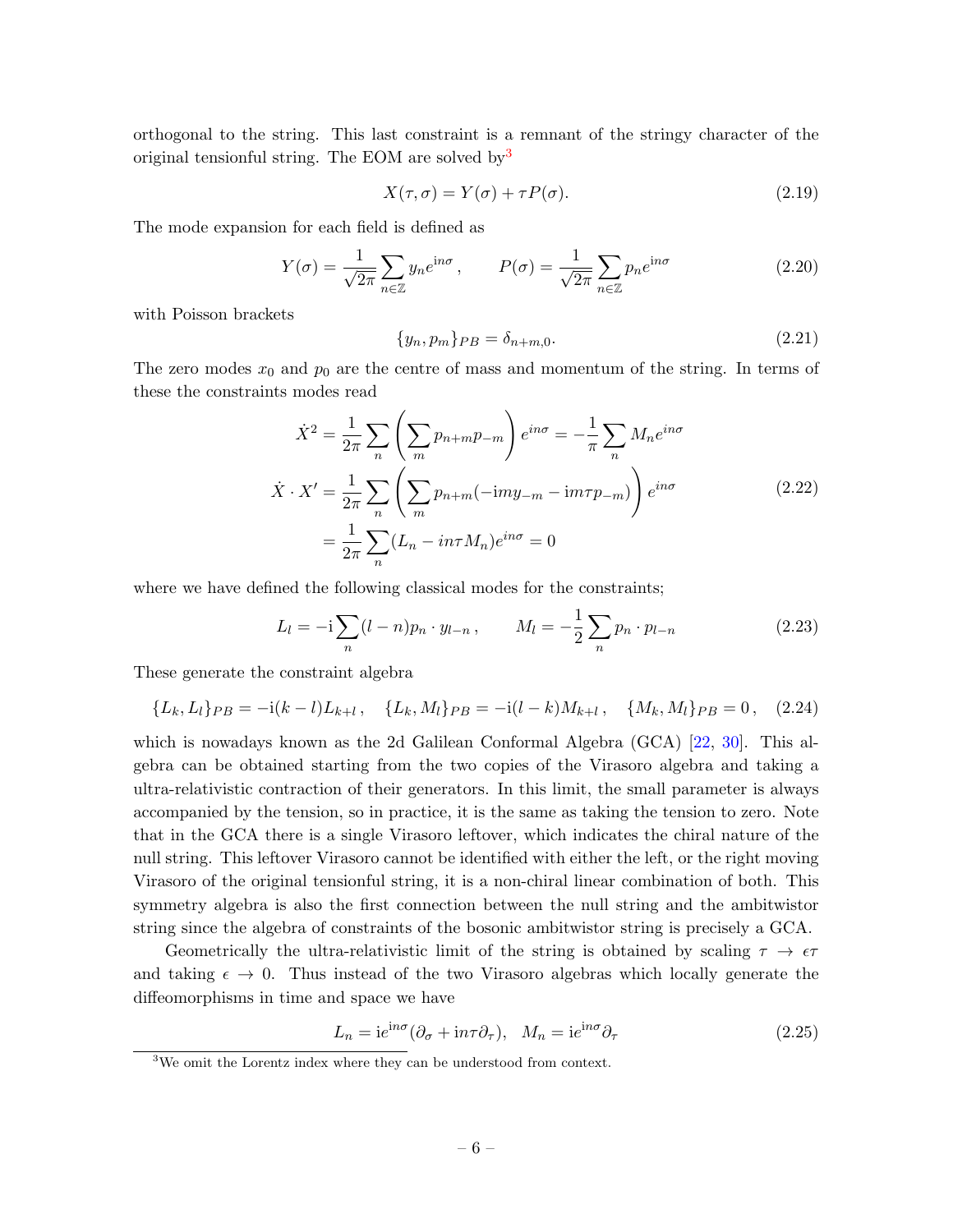orthogonal to the string. This last constraint is a remnant of the stringy character of the original tensionful string. The EOM are solved by  $3$ 

$$
X(\tau,\sigma) = Y(\sigma) + \tau P(\sigma). \tag{2.19}
$$

The mode expansion for each field is defined as

<span id="page-6-2"></span>
$$
Y(\sigma) = \frac{1}{\sqrt{2\pi}} \sum_{n \in \mathbb{Z}} y_n e^{\mathrm{i}n\sigma}, \qquad P(\sigma) = \frac{1}{\sqrt{2\pi}} \sum_{n \in \mathbb{Z}} p_n e^{\mathrm{i}n\sigma}
$$
(2.20)

with Poisson brackets

$$
\{y_n, p_m\}_{PB} = \delta_{n+m,0}.\tag{2.21}
$$

The zero modes  $x_0$  and  $p_0$  are the centre of mass and momentum of the string. In terms of these the constraints modes read

$$
\dot{X}^2 = \frac{1}{2\pi} \sum_n \left( \sum_m p_{n+m} p_{-m} \right) e^{in\sigma} = -\frac{1}{\pi} \sum_n M_n e^{in\sigma}
$$
\n
$$
\dot{X} \cdot X' = \frac{1}{2\pi} \sum_n \left( \sum_m p_{n+m} (-imy_{-m} - im\tau p_{-m}) \right) e^{in\sigma}
$$
\n
$$
= \frac{1}{2\pi} \sum_n (L_n - in\tau M_n) e^{in\sigma} = 0
$$
\n(2.22)

where we have defined the following classical modes for the constraints;

<span id="page-6-3"></span><span id="page-6-1"></span>
$$
L_l = -i \sum_{n} (l - n) p_n \cdot y_{l-n} , \qquad M_l = -\frac{1}{2} \sum_{n} p_n \cdot p_{l-n}
$$
 (2.23)

These generate the constraint algebra

$$
\{L_k, L_l\}_{PB} = -\mathrm{i}(k-l)L_{k+l}, \quad \{L_k, M_l\}_{PB} = -\mathrm{i}(l-k)M_{k+l}, \quad \{M_k, M_l\}_{PB} = 0, \quad (2.24)
$$

which is nowadays known as the 2d Galilean Conformal Algebra (GCA) [\[22,](#page-20-11) [30\]](#page-21-1). This algebra can be obtained starting from the two copies of the Virasoro algebra and taking a ultra-relativistic contraction of their generators. In this limit, the small parameter is always accompanied by the tension, so in practice, it is the same as taking the tension to zero. Note that in the GCA there is a single Virasoro leftover, which indicates the chiral nature of the null string. This leftover Virasoro cannot be identified with either the left, or the right moving Virasoro of the original tensionful string, it is a non-chiral linear combination of both. This symmetry algebra is also the first connection between the null string and the ambitwistor string since the algebra of constraints of the bosonic ambitwistor string is precisely a GCA.

Geometrically the ultra-relativistic limit of the string is obtained by scaling  $\tau \to \epsilon \tau$ and taking  $\epsilon \to 0$ . Thus instead of the two Virasoro algebras which locally generate the diffeomorphisms in time and space we have

$$
L_n = i e^{in\sigma} (\partial_\sigma + i n \tau \partial_\tau), \quad M_n = i e^{in\sigma} \partial_\tau
$$
\n(2.25)

<span id="page-6-0"></span><sup>3</sup>We omit the Lorentz index where they can be understood from context.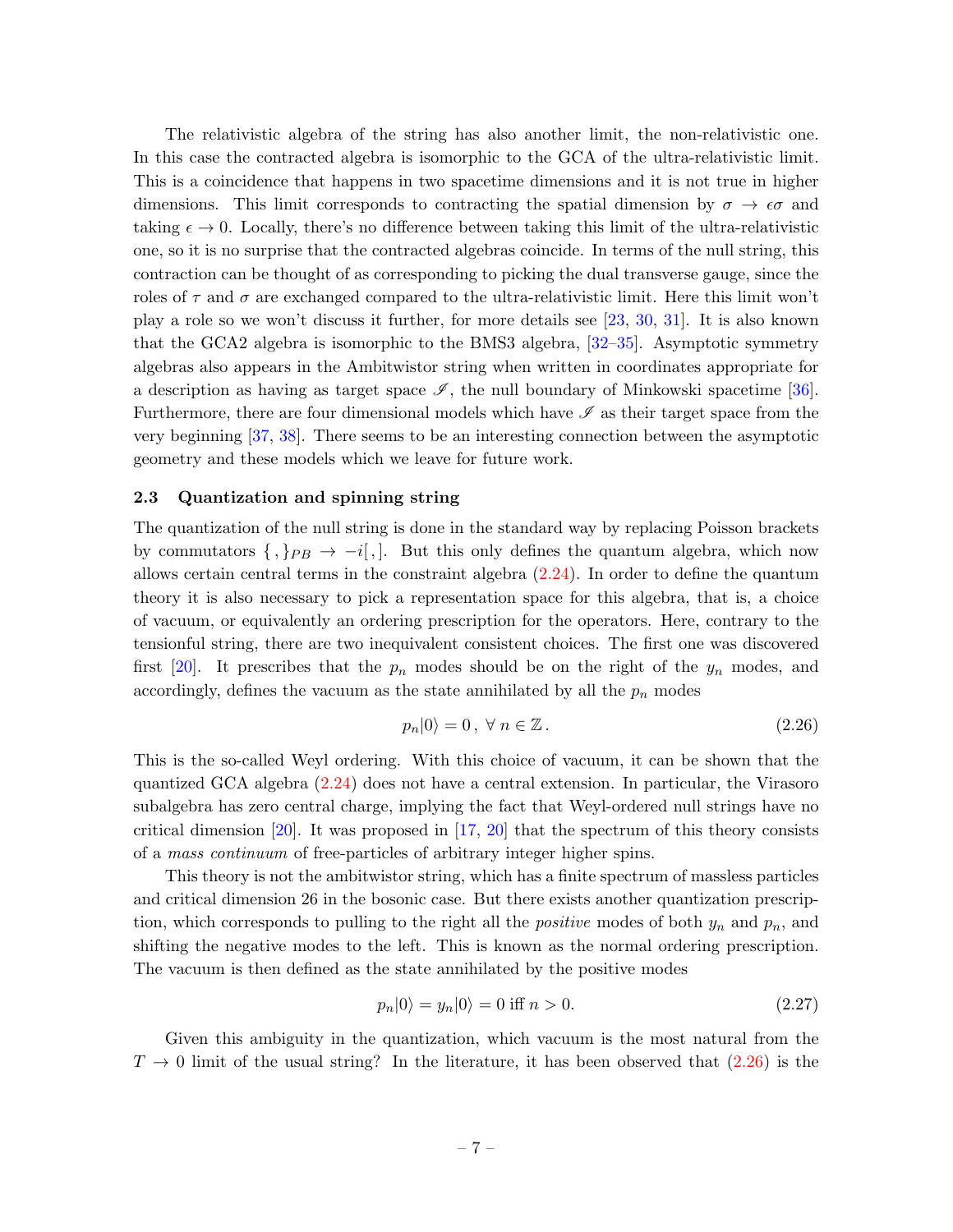The relativistic algebra of the string has also another limit, the non-relativistic one. In this case the contracted algebra is isomorphic to the GCA of the ultra-relativistic limit. This is a coincidence that happens in two spacetime dimensions and it is not true in higher dimensions. This limit corresponds to contracting the spatial dimension by  $\sigma \to \epsilon \sigma$  and taking  $\epsilon \to 0$ . Locally, there's no difference between taking this limit of the ultra-relativistic one, so it is no surprise that the contracted algebras coincide. In terms of the null string, this contraction can be thought of as corresponding to picking the dual transverse gauge, since the roles of  $\tau$  and  $\sigma$  are exchanged compared to the ultra-relativistic limit. Here this limit won't play a role so we won't discuss it further, for more details see [\[23,](#page-20-12) [30,](#page-21-1) [31\]](#page-21-2). It is also known that the GCA2 algebra is isomorphic to the BMS3 algebra, [\[32](#page-21-3)[–35\]](#page-21-4). Asymptotic symmetry algebras also appears in the Ambitwistor string when written in coordinates appropriate for a description as having as target space  $\mathscr{I}$ , the null boundary of Minkowski spacetime [\[36\]](#page-21-5). Furthermore, there are four dimensional models which have  $\mathscr I$  as their target space from the very beginning [\[37,](#page-21-6) [38\]](#page-21-7). There seems to be an interesting connection between the asymptotic geometry and these models which we leave for future work.

#### <span id="page-7-0"></span>2.3 Quantization and spinning string

The quantization of the null string is done in the standard way by replacing Poisson brackets by commutators  $\{ , \}_{PB} \to -i[, ]$ . But this only defines the quantum algebra, which now allows certain central terms in the constraint algebra [\(2.24\)](#page-6-1). In order to define the quantum theory it is also necessary to pick a representation space for this algebra, that is, a choice of vacuum, or equivalently an ordering prescription for the operators. Here, contrary to the tensionful string, there are two inequivalent consistent choices. The first one was discovered first [\[20\]](#page-20-9). It prescribes that the  $p_n$  modes should be on the right of the  $y_n$  modes, and accordingly, defines the vacuum as the state annihilated by all the  $p_n$  modes

<span id="page-7-1"></span>
$$
p_n|0\rangle = 0, \ \forall \ n \in \mathbb{Z} \,. \tag{2.26}
$$

This is the so-called Weyl ordering. With this choice of vacuum, it can be shown that the quantized GCA algebra [\(2.24\)](#page-6-1) does not have a central extension. In particular, the Virasoro subalgebra has zero central charge, implying the fact that Weyl-ordered null strings have no critical dimension  $[20]$ . It was proposed in  $[17, 20]$  $[17, 20]$  $[17, 20]$  that the spectrum of this theory consists of a mass continuum of free-particles of arbitrary integer higher spins.

This theory is not the ambitwistor string, which has a finite spectrum of massless particles and critical dimension 26 in the bosonic case. But there exists another quantization prescription, which corresponds to pulling to the right all the *positive* modes of both  $y_n$  and  $p_n$ , and shifting the negative modes to the left. This is known as the normal ordering prescription. The vacuum is then defined as the state annihilated by the positive modes

<span id="page-7-2"></span>
$$
p_n|0\rangle = y_n|0\rangle = 0 \text{ iff } n > 0. \tag{2.27}
$$

Given this ambiguity in the quantization, which vacuum is the most natural from the  $T \rightarrow 0$  limit of the usual string? In the literature, it has been observed that  $(2.26)$  is the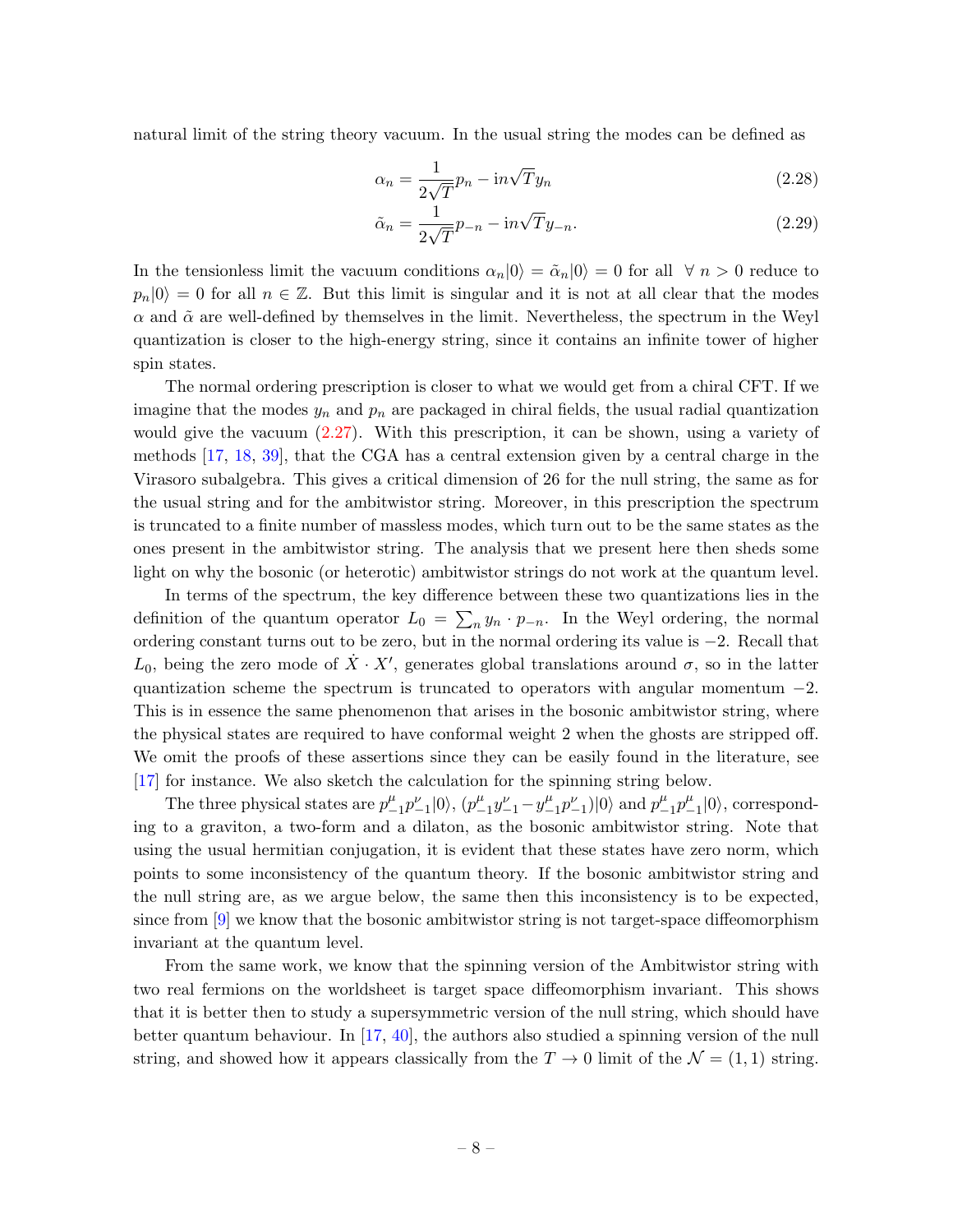natural limit of the string theory vacuum. In the usual string the modes can be defined as

$$
\alpha_n = \frac{1}{2\sqrt{T}} p_n - \mathrm{i}n\sqrt{T}y_n \tag{2.28}
$$

$$
\tilde{\alpha}_n = \frac{1}{2\sqrt{T}} p_{-n} - \mathrm{i}n\sqrt{T}y_{-n}.\tag{2.29}
$$

In the tensionless limit the vacuum conditions  $\alpha_n|0\rangle = \tilde{\alpha}_n|0\rangle = 0$  for all  $\forall n > 0$  reduce to  $p_n|0\rangle = 0$  for all  $n \in \mathbb{Z}$ . But this limit is singular and it is not at all clear that the modes  $\alpha$  and  $\tilde{\alpha}$  are well-defined by themselves in the limit. Nevertheless, the spectrum in the Weyl quantization is closer to the high-energy string, since it contains an infinite tower of higher spin states.

The normal ordering prescription is closer to what we would get from a chiral CFT. If we imagine that the modes  $y_n$  and  $p_n$  are packaged in chiral fields, the usual radial quantization would give the vacuum [\(2.27\)](#page-7-2). With this prescription, it can be shown, using a variety of methods [\[17,](#page-20-6) [18,](#page-20-7) [39\]](#page-21-8), that the CGA has a central extension given by a central charge in the Virasoro subalgebra. This gives a critical dimension of 26 for the null string, the same as for the usual string and for the ambitwistor string. Moreover, in this prescription the spectrum is truncated to a finite number of massless modes, which turn out to be the same states as the ones present in the ambitwistor string. The analysis that we present here then sheds some light on why the bosonic (or heterotic) ambitwistor strings do not work at the quantum level.

In terms of the spectrum, the key difference between these two quantizations lies in the definition of the quantum operator  $L_0 = \sum_n y_n \cdot p_{-n}$ . In the Weyl ordering, the normal ordering constant turns out to be zero, but in the normal ordering its value is −2. Recall that  $L_0$ , being the zero mode of  $\dot{X} \cdot X'$ , generates global translations around  $\sigma$ , so in the latter quantization scheme the spectrum is truncated to operators with angular momentum  $-2$ . This is in essence the same phenomenon that arises in the bosonic ambitwistor string, where the physical states are required to have conformal weight 2 when the ghosts are stripped off. We omit the proofs of these assertions since they can be easily found in the literature, see [\[17\]](#page-20-6) for instance. We also sketch the calculation for the spinning string below.

The three physical states are  $p_{-}^{\mu}$  $^{\mu}_{-1}p_{-1}^{\nu}|0\rangle, (p_{-}^{\mu})$  $^{\mu}_{-1}y_{-1}^{\nu}-y_{-}^{\mu}$  $_{-1}^{\mu}p_{-1}^{\nu})|0\rangle$  and  $p_{-}^{\mu}$  $^{\mu}{}_{-1}p^{\mu}$  $_{-1}^{\mu}|0\rangle$ , corresponding to a graviton, a two-form and a dilaton, as the bosonic ambitwistor string. Note that using the usual hermitian conjugation, it is evident that these states have zero norm, which points to some inconsistency of the quantum theory. If the bosonic ambitwistor string and the null string are, as we argue below, the same then this inconsistency is to be expected, since from [\[9\]](#page-20-18) we know that the bosonic ambitwistor string is not target-space diffeomorphism invariant at the quantum level.

From the same work, we know that the spinning version of the Ambitwistor string with two real fermions on the worldsheet is target space diffeomorphism invariant. This shows that it is better then to study a supersymmetric version of the null string, which should have better quantum behaviour. In  $[17, 40]$  $[17, 40]$  $[17, 40]$ , the authors also studied a spinning version of the null string, and showed how it appears classically from the  $T \to 0$  limit of the  $\mathcal{N} = (1, 1)$  string.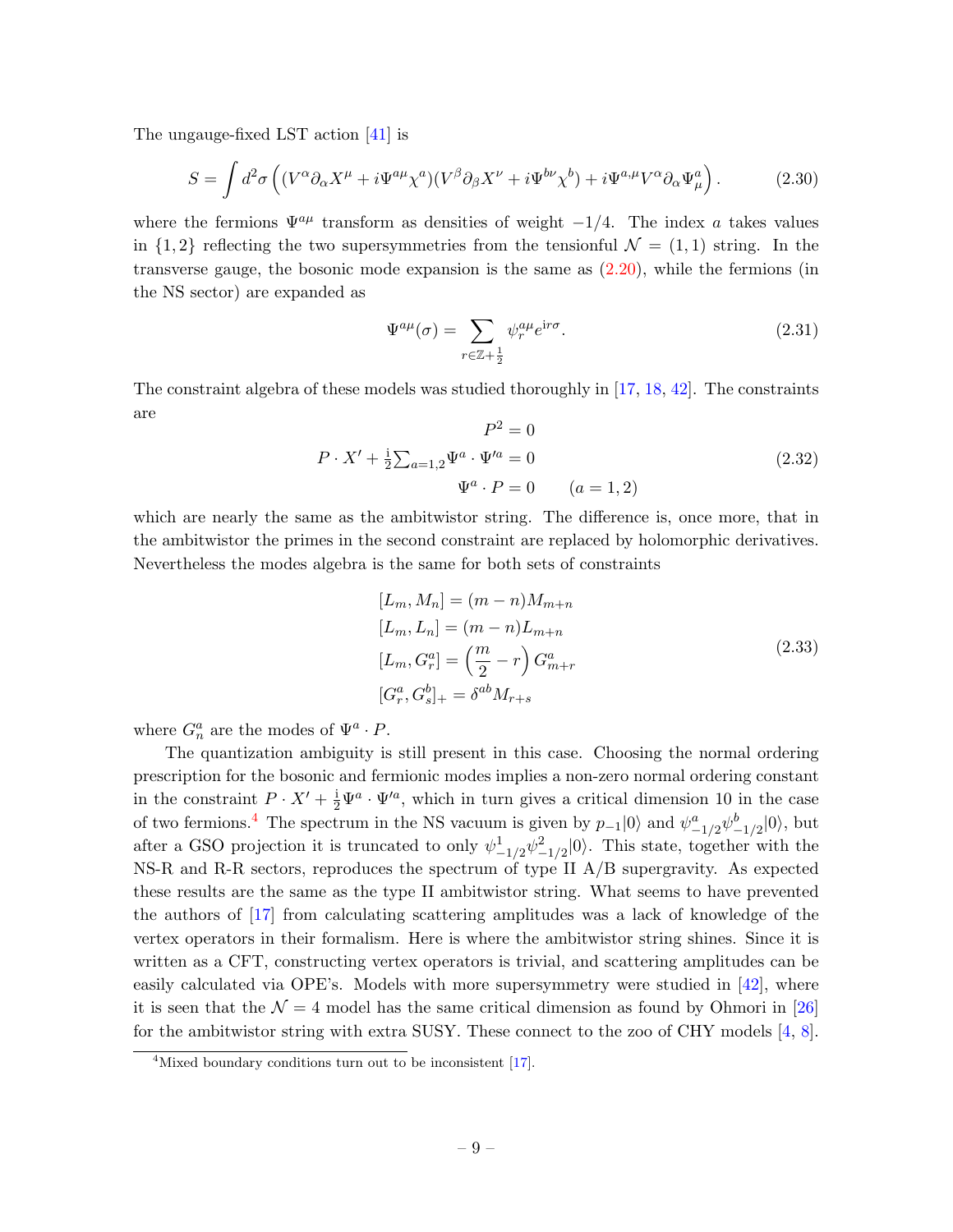The ungauge-fixed LST action [\[41\]](#page-21-10) is

$$
S = \int d^2 \sigma \left( (V^{\alpha} \partial_{\alpha} X^{\mu} + i \Psi^{a \mu} \chi^{a})(V^{\beta} \partial_{\beta} X^{\nu} + i \Psi^{b \nu} \chi^{b}) + i \Psi^{a, \mu} V^{\alpha} \partial_{\alpha} \Psi^{a}_{\mu} \right).
$$
 (2.30)

where the fermions  $\Psi^{a\mu}$  transform as densities of weight  $-1/4$ . The index a takes values in  $\{1, 2\}$  reflecting the two supersymmetries from the tensionful  $\mathcal{N} = (1, 1)$  string. In the transverse gauge, the bosonic mode expansion is the same as [\(2.20\)](#page-6-2), while the fermions (in the NS sector) are expanded as

$$
\Psi^{a\mu}(\sigma) = \sum_{r \in \mathbb{Z} + \frac{1}{2}} \psi_r^{a\mu} e^{ir\sigma}.
$$
\n(2.31)

The constraint algebra of these models was studied thoroughly in [\[17,](#page-20-6) [18,](#page-20-7) [42\]](#page-21-11). The constraints are  $\mathbf{r}^2$ 

$$
P^2 = 0
$$
  
\n
$$
P \cdot X' + \frac{1}{2} \sum_{a=1,2} \Psi^a \cdot \Psi'^a = 0
$$
  
\n
$$
\Psi^a \cdot P = 0 \qquad (a = 1, 2)
$$
\n(2.32)

which are nearly the same as the ambitwistor string. The difference is, once more, that in the ambitwistor the primes in the second constraint are replaced by holomorphic derivatives. Nevertheless the modes algebra is the same for both sets of constraints

$$
[L_m, M_n] = (m - n)M_{m+n}
$$
  
\n
$$
[L_m, L_n] = (m - n)L_{m+n}
$$
  
\n
$$
[L_m, G_r^a] = \left(\frac{m}{2} - r\right)G_{m+r}^a
$$
  
\n
$$
[G_r^a, G_s^b]_+ = \delta^{ab}M_{r+s}
$$
\n(2.33)

where  $G_n^a$  are the modes of  $\Psi^a \cdot P$ .

The quantization ambiguity is still present in this case. Choosing the normal ordering prescription for the bosonic and fermionic modes implies a non-zero normal ordering constant in the constraint  $P \cdot X' + \frac{1}{2} \Psi^a \cdot \Psi'^a$ , which in turn gives a critical dimension 10 in the case of two fermions.<sup>[4](#page-9-0)</sup> The spectrum in the NS vacuum is given by  $p_{-1}|0\rangle$  and  $\psi^a_{-1/2}\psi^b_{-1/2}|0\rangle$ , but after a GSO projection it is truncated to only  $\psi_{-1/2}^1 \psi_{-1/2}^2 |0\rangle$ . This state, together with the  $NS-R$  and R-R sectors, reproduces the spectrum of type II  $A/B$  supergravity. As expected these results are the same as the type II ambitwistor string. What seems to have prevented the authors of [\[17\]](#page-20-6) from calculating scattering amplitudes was a lack of knowledge of the vertex operators in their formalism. Here is where the ambitwistor string shines. Since it is written as a CFT, constructing vertex operators is trivial, and scattering amplitudes can be easily calculated via OPE's. Models with more supersymmetry were studied in [\[42\]](#page-21-11), where it is seen that the  $\mathcal{N} = 4$  model has the same critical dimension as found by Ohmori in [\[26\]](#page-20-15) for the ambitwistor string with extra SUSY. These connect to the zoo of CHY models [\[4,](#page-19-5) [8\]](#page-20-0).

<span id="page-9-0"></span><sup>&</sup>lt;sup>4</sup>Mixed boundary conditions turn out to be inconsistent [\[17\]](#page-20-6).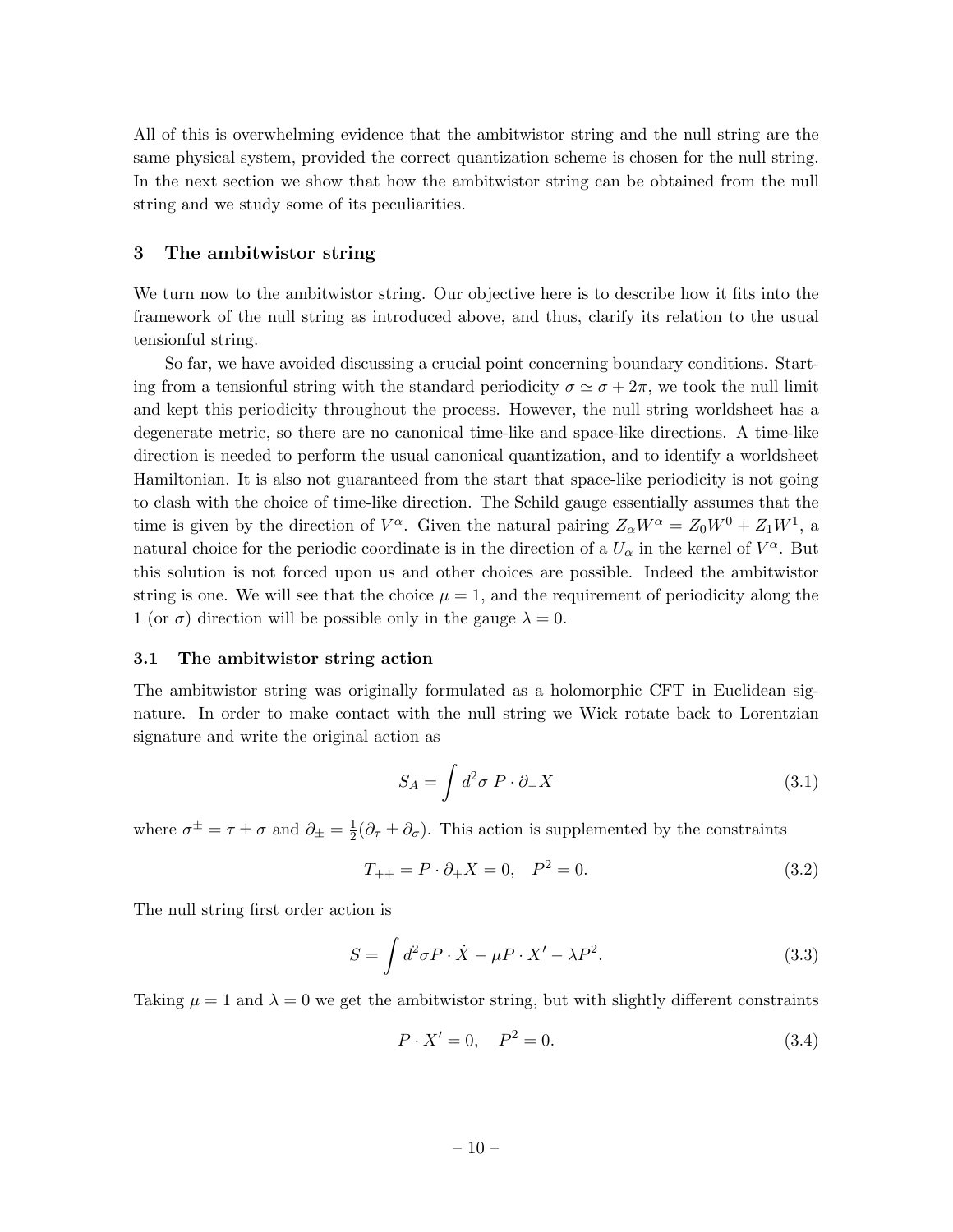All of this is overwhelming evidence that the ambitwistor string and the null string are the same physical system, provided the correct quantization scheme is chosen for the null string. In the next section we show that how the ambitwistor string can be obtained from the null string and we study some of its peculiarities.

### <span id="page-10-0"></span>3 The ambitwistor string

We turn now to the ambitwistor string. Our objective here is to describe how it fits into the framework of the null string as introduced above, and thus, clarify its relation to the usual tensionful string.

So far, we have avoided discussing a crucial point concerning boundary conditions. Starting from a tensionful string with the standard periodicity  $\sigma \simeq \sigma + 2\pi$ , we took the null limit and kept this periodicity throughout the process. However, the null string worldsheet has a degenerate metric, so there are no canonical time-like and space-like directions. A time-like direction is needed to perform the usual canonical quantization, and to identify a worldsheet Hamiltonian. It is also not guaranteed from the start that space-like periodicity is not going to clash with the choice of time-like direction. The Schild gauge essentially assumes that the time is given by the direction of  $V^{\alpha}$ . Given the natural pairing  $Z_{\alpha}W^{\alpha} = Z_0W^0 + Z_1W^1$ , a natural choice for the periodic coordinate is in the direction of a  $U_{\alpha}$  in the kernel of  $V^{\alpha}$ . But this solution is not forced upon us and other choices are possible. Indeed the ambitwistor string is one. We will see that the choice  $\mu = 1$ , and the requirement of periodicity along the 1 (or  $\sigma$ ) direction will be possible only in the gauge  $\lambda = 0$ .

#### <span id="page-10-1"></span>3.1 The ambitwistor string action

The ambitwistor string was originally formulated as a holomorphic CFT in Euclidean signature. In order to make contact with the null string we Wick rotate back to Lorentzian signature and write the original action as

<span id="page-10-2"></span>
$$
S_A = \int d^2 \sigma \, P \cdot \partial_- X \tag{3.1}
$$

where  $\sigma^{\pm} = \tau \pm \sigma$  and  $\partial_{\pm} = \frac{1}{2}$  $\frac{1}{2}(\partial_{\tau} \pm \partial_{\sigma})$ . This action is supplemented by the constraints

$$
T_{++} = P \cdot \partial_+ X = 0, \quad P^2 = 0. \tag{3.2}
$$

The null string first order action is

$$
S = \int d^2 \sigma P \cdot \dot{X} - \mu P \cdot X' - \lambda P^2.
$$
 (3.3)

Taking  $\mu = 1$  and  $\lambda = 0$  we get the ambitwistor string, but with slightly different constraints

$$
P \cdot X' = 0, \quad P^2 = 0. \tag{3.4}
$$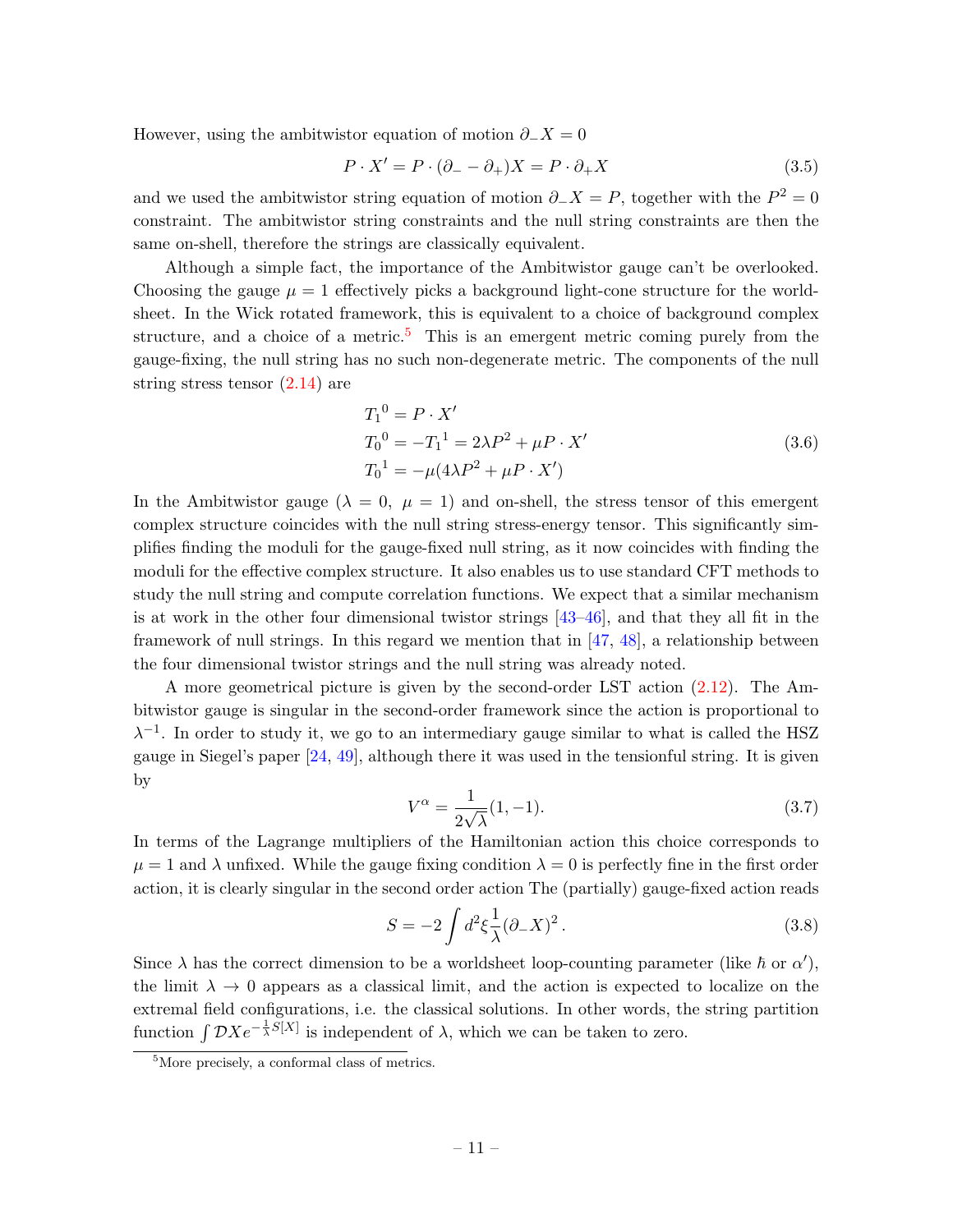However, using the ambitwistor equation of motion  $\partial$ <sub>−</sub>X = 0

$$
P \cdot X' = P \cdot (\partial_- - \partial_+) X = P \cdot \partial_+ X \tag{3.5}
$$

and we used the ambitwistor string equation of motion  $\partial_- X = P$ , together with the  $P^2 = 0$ constraint. The ambitwistor string constraints and the null string constraints are then the same on-shell, therefore the strings are classically equivalent.

Although a simple fact, the importance of the Ambitwistor gauge can't be overlooked. Choosing the gauge  $\mu = 1$  effectively picks a background light-cone structure for the worldsheet. In the Wick rotated framework, this is equivalent to a choice of background complex structure, and a choice of a metric.<sup>[5](#page-11-0)</sup> This is an emergent metric coming purely from the gauge-fixing, the null string has no such non-degenerate metric. The components of the null string stress tensor [\(2.14\)](#page-5-2) are

$$
T_1^0 = P \cdot X'
$$
  
\n
$$
T_0^0 = -T_1^1 = 2\lambda P^2 + \mu P \cdot X'
$$
  
\n
$$
T_0^1 = -\mu (4\lambda P^2 + \mu P \cdot X')
$$
\n(3.6)

In the Ambitwistor gauge ( $\lambda = 0$ ,  $\mu = 1$ ) and on-shell, the stress tensor of this emergent complex structure coincides with the null string stress-energy tensor. This significantly simplifies finding the moduli for the gauge-fixed null string, as it now coincides with finding the moduli for the effective complex structure. It also enables us to use standard CFT methods to study the null string and compute correlation functions. We expect that a similar mechanism is at work in the other four dimensional twistor strings [\[43–](#page-21-12)[46\]](#page-21-13), and that they all fit in the framework of null strings. In this regard we mention that in [\[47,](#page-21-14) [48\]](#page-21-15), a relationship between the four dimensional twistor strings and the null string was already noted.

A more geometrical picture is given by the second-order LST action [\(2.12\)](#page-4-3). The Ambitwistor gauge is singular in the second-order framework since the action is proportional to  $\lambda^{-1}$ . In order to study it, we go to an intermediary gauge similar to what is called the HSZ gauge in Siegel's paper [\[24,](#page-20-13) [49\]](#page-22-0), although there it was used in the tensionful string. It is given by

$$
V^{\alpha} = \frac{1}{2\sqrt{\lambda}}(1, -1).
$$
 (3.7)

In terms of the Lagrange multipliers of the Hamiltonian action this choice corresponds to  $\mu = 1$  and  $\lambda$  unfixed. While the gauge fixing condition  $\lambda = 0$  is perfectly fine in the first order action, it is clearly singular in the second order action The (partially) gauge-fixed action reads

<span id="page-11-1"></span>
$$
S = -2 \int d^2 \xi \frac{1}{\lambda} (\partial_- X)^2.
$$
 (3.8)

Since  $\lambda$  has the correct dimension to be a worldsheet loop-counting parameter (like  $\hbar$  or  $\alpha'$ ), the limit  $\lambda \to 0$  appears as a classical limit, and the action is expected to localize on the extremal field configurations, i.e. the classical solutions. In other words, the string partition function  $\int \mathcal{D}X e^{-\frac{1}{\lambda}S[X]}$  is independent of  $\lambda$ , which we can be taken to zero.

<span id="page-11-0"></span><sup>5</sup>More precisely, a conformal class of metrics.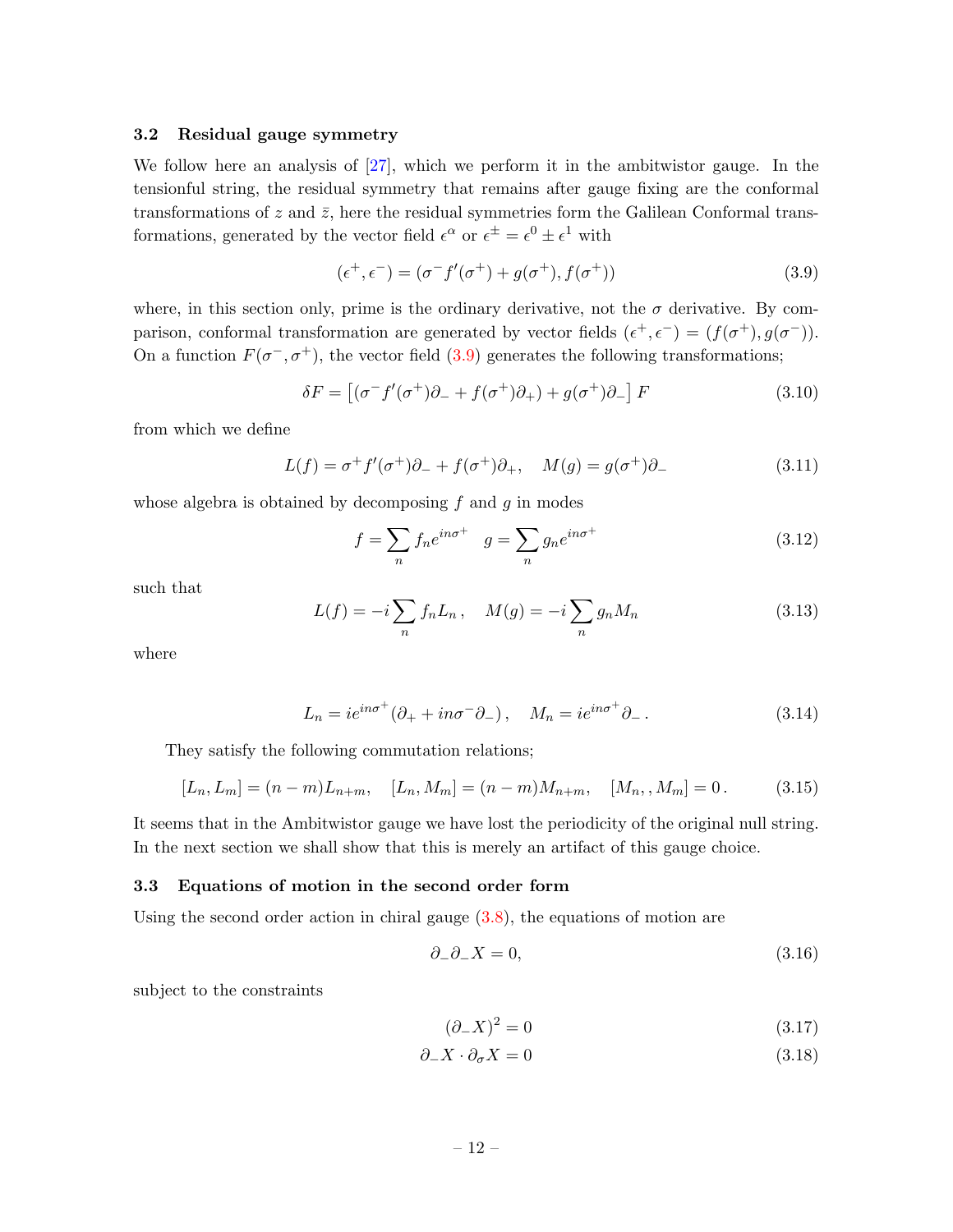#### <span id="page-12-0"></span>3.2 Residual gauge symmetry

We follow here an analysis of [\[27\]](#page-20-16), which we perform it in the ambitwistor gauge. In the tensionful string, the residual symmetry that remains after gauge fixing are the conformal transformations of z and  $\bar{z}$ , here the residual symmetries form the Galilean Conformal transformations, generated by the vector field  $\epsilon^{\alpha}$  or  $\epsilon^{\pm} = \epsilon^{0} \pm \epsilon^{1}$  with

<span id="page-12-2"></span>
$$
(\epsilon^+, \epsilon^-) = (\sigma^- f'(\sigma^+) + g(\sigma^+), f(\sigma^+)) \tag{3.9}
$$

where, in this section only, prime is the ordinary derivative, not the  $\sigma$  derivative. By comparison, conformal transformation are generated by vector fields  $(\epsilon^+, \epsilon^-) = (f(\sigma^+), g(\sigma^-))$ . On a function  $F(\sigma^-, \sigma^+)$ , the vector field [\(3.9\)](#page-12-2) generates the following transformations;

$$
\delta F = \left[ (\sigma^- f'(\sigma^+) \partial_- + f(\sigma^+) \partial_+) + g(\sigma^+) \partial_- \right] F \tag{3.10}
$$

from which we define

$$
L(f) = \sigma^+ f'(\sigma^+) \partial_- + f(\sigma^+) \partial_+, \quad M(g) = g(\sigma^+) \partial_- \tag{3.11}
$$

whose algebra is obtained by decomposing  $f$  and  $g$  in modes

$$
f = \sum_{n} f_n e^{in\sigma^+} \quad g = \sum_{n} g_n e^{in\sigma^+} \tag{3.12}
$$

such that

$$
L(f) = -i \sum_{n} f_n L_n, \quad M(g) = -i \sum_{n} g_n M_n \tag{3.13}
$$

where

$$
L_n = ie^{in\sigma^+}(\partial_+ + in\sigma^- \partial_-), \quad M_n = ie^{in\sigma^+} \partial_-.
$$
 (3.14)

They satisfy the following commutation relations;

$$
[L_n, L_m] = (n - m)L_{n+m}, \quad [L_n, M_m] = (n - m)M_{n+m}, \quad [M_n, M_m] = 0. \tag{3.15}
$$

It seems that in the Ambitwistor gauge we have lost the periodicity of the original null string. In the next section we shall show that this is merely an artifact of this gauge choice.

#### <span id="page-12-1"></span>3.3 Equations of motion in the second order form

Using the second order action in chiral gauge  $(3.8)$ , the equations of motion are

<span id="page-12-4"></span>
$$
\partial_{-}\partial_{-}X = 0,\tag{3.16}
$$

subject to the constraints

<span id="page-12-3"></span>
$$
(\partial_- X)^2 = 0 \tag{3.17}
$$

$$
\partial_- X \cdot \partial_\sigma X = 0 \tag{3.18}
$$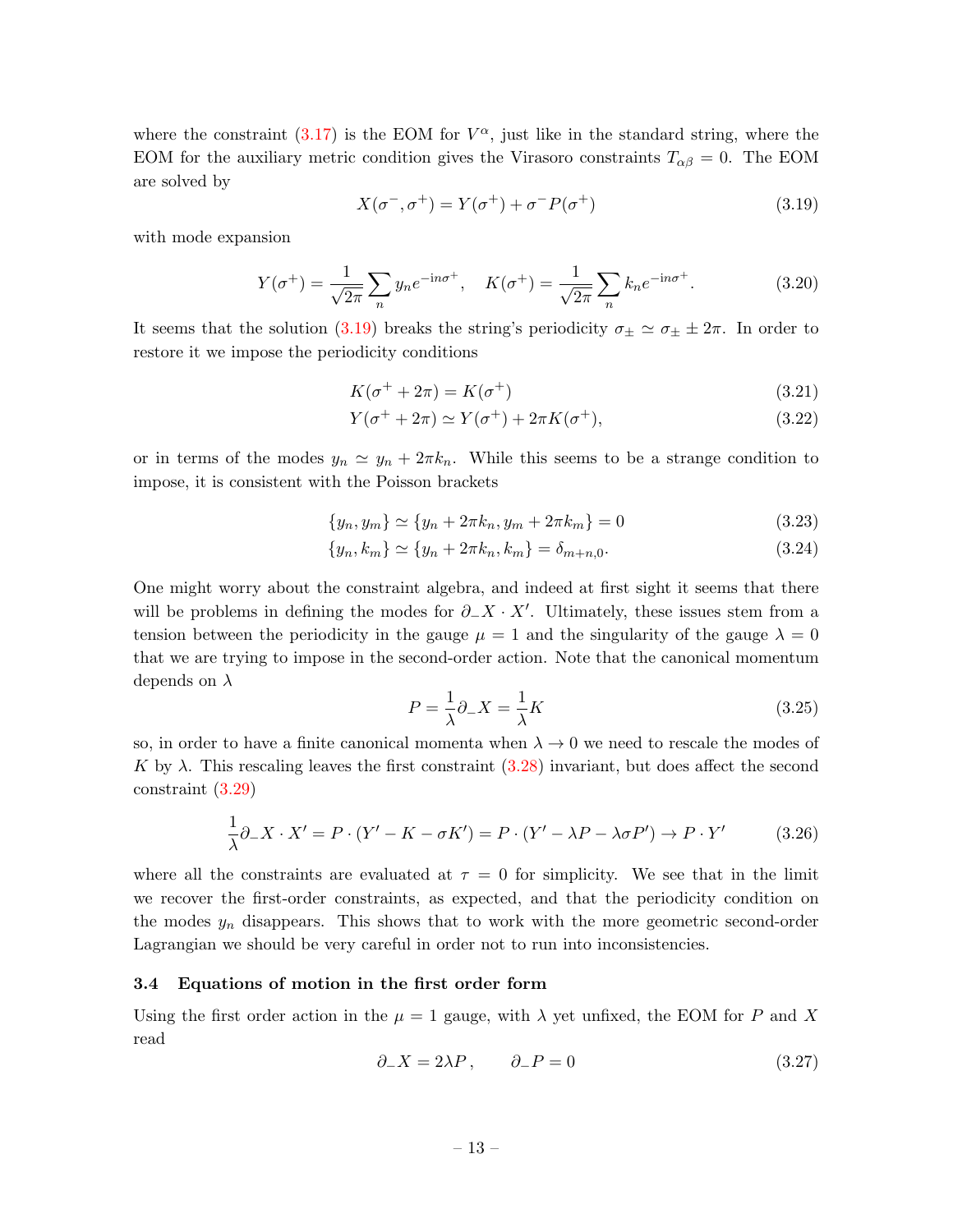where the constraint  $(3.17)$  is the EOM for  $V^{\alpha}$ , just like in the standard string, where the EOM for the auxiliary metric condition gives the Virasoro constraints  $T_{\alpha\beta} = 0$ . The EOM are solved by

<span id="page-13-1"></span>
$$
X(\sigma^-,\sigma^+) = Y(\sigma^+) + \sigma^- P(\sigma^+) \tag{3.19}
$$

with mode expansion

$$
Y(\sigma^{+}) = \frac{1}{\sqrt{2\pi}} \sum_{n} y_{n} e^{-in\sigma^{+}}, \quad K(\sigma^{+}) = \frac{1}{\sqrt{2\pi}} \sum_{n} k_{n} e^{-in\sigma^{+}}.
$$
 (3.20)

It seems that the solution [\(3.19\)](#page-13-1) breaks the string's periodicity  $\sigma_{\pm} \simeq \sigma_{\pm} \pm 2\pi$ . In order to restore it we impose the periodicity conditions

$$
K(\sigma^+ + 2\pi) = K(\sigma^+) \tag{3.21}
$$

$$
Y(\sigma^+ + 2\pi) \simeq Y(\sigma^+) + 2\pi K(\sigma^+),\tag{3.22}
$$

or in terms of the modes  $y_n \simeq y_n + 2\pi k_n$ . While this seems to be a strange condition to impose, it is consistent with the Poisson brackets

$$
\{y_n, y_m\} \simeq \{y_n + 2\pi k_n, y_m + 2\pi k_m\} = 0
$$
\n(3.23)

$$
\{y_n, k_m\} \simeq \{y_n + 2\pi k_n, k_m\} = \delta_{m+n,0}.\tag{3.24}
$$

One might worry about the constraint algebra, and indeed at first sight it seems that there will be problems in defining the modes for  $\partial$ -X · X'. Ultimately, these issues stem from a tension between the periodicity in the gauge  $\mu = 1$  and the singularity of the gauge  $\lambda = 0$ that we are trying to impose in the second-order action. Note that the canonical momentum depends on  $\lambda$ 

$$
P = \frac{1}{\lambda} \partial_{-} X = \frac{1}{\lambda} K \tag{3.25}
$$

so, in order to have a finite canonical momenta when  $\lambda \to 0$  we need to rescale the modes of K by  $\lambda$ . This rescaling leaves the first constraint  $(3.28)$  invariant, but does affect the second constraint [\(3.29\)](#page-14-3)

$$
\frac{1}{\lambda}\partial_-X \cdot X' = P \cdot (Y' - K - \sigma K') = P \cdot (Y' - \lambda P - \lambda \sigma P') \to P \cdot Y' \tag{3.26}
$$

where all the constraints are evaluated at  $\tau = 0$  for simplicity. We see that in the limit we recover the first-order constraints, as expected, and that the periodicity condition on the modes  $y_n$  disappears. This shows that to work with the more geometric second-order Lagrangian we should be very careful in order not to run into inconsistencies.

#### <span id="page-13-0"></span>3.4 Equations of motion in the first order form

Using the first order action in the  $\mu = 1$  gauge, with  $\lambda$  yet unfixed, the EOM for P and X read

$$
\partial_- X = 2\lambda P, \qquad \partial_- P = 0 \tag{3.27}
$$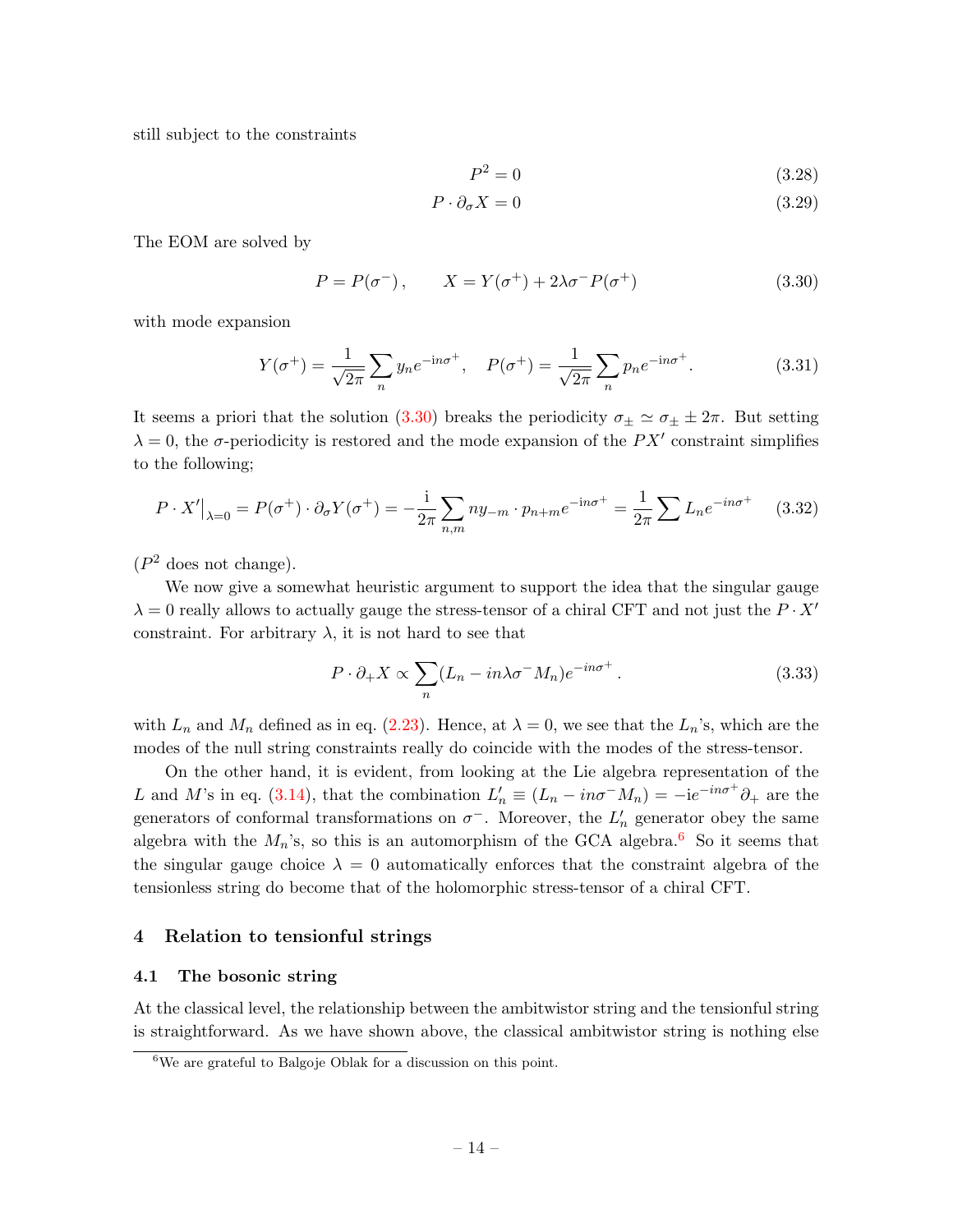still subject to the constraints

<span id="page-14-3"></span><span id="page-14-2"></span>
$$
P^2 = 0\tag{3.28}
$$

$$
P \cdot \partial_{\sigma} X = 0 \tag{3.29}
$$

The EOM are solved by

<span id="page-14-4"></span>
$$
P = P(\sigma^-), \qquad X = Y(\sigma^+) + 2\lambda\sigma^- P(\sigma^+) \tag{3.30}
$$

with mode expansion

$$
Y(\sigma^+) = \frac{1}{\sqrt{2\pi}} \sum_n y_n e^{-in\sigma^+}, \quad P(\sigma^+) = \frac{1}{\sqrt{2\pi}} \sum_n p_n e^{-in\sigma^+}.
$$
 (3.31)

It seems a priori that the solution [\(3.30\)](#page-14-4) breaks the periodicity  $\sigma_{\pm} \simeq \sigma_{\pm} \pm 2\pi$ . But setting  $\lambda = 0$ , the  $\sigma$ -periodicity is restored and the mode expansion of the PX' constraint simplifies to the following;

$$
P \cdot X'|_{\lambda=0} = P(\sigma^+) \cdot \partial_{\sigma} Y(\sigma^+) = -\frac{i}{2\pi} \sum_{n,m} n y_{-m} \cdot p_{n+m} e^{-in\sigma^+} = \frac{1}{2\pi} \sum L_n e^{-in\sigma^+} \quad (3.32)
$$

 $(P<sup>2</sup>$  does not change).

We now give a somewhat heuristic argument to support the idea that the singular gauge  $\lambda = 0$  really allows to actually gauge the stress-tensor of a chiral CFT and not just the  $P \cdot X'$ constraint. For arbitrary  $\lambda$ , it is not hard to see that

$$
P \cdot \partial_+ X \propto \sum_n (L_n - in\lambda \sigma^- M_n) e^{-in\sigma^+} \,. \tag{3.33}
$$

with  $L_n$  and  $M_n$  defined as in eq. [\(2.23\)](#page-6-3). Hence, at  $\lambda = 0$ , we see that the  $L_n$ 's, which are the modes of the null string constraints really do coincide with the modes of the stress-tensor.

On the other hand, it is evident, from looking at the Lie algebra representation of the L and M's in eq. [\(3.14\)](#page-12-4), that the combination  $L'_n \equiv (L_n - in\sigma^{-}M_n) = -ie^{-in\sigma^{+}}\partial_{+}$  are the generators of conformal transformations on  $\sigma^-$ . Moreover, the  $L'_n$  generator obey the same algebra with the  $M_n$ 's, so this is an automorphism of the GCA algebra.<sup>[6](#page-14-5)</sup> So it seems that the singular gauge choice  $\lambda = 0$  automatically enforces that the constraint algebra of the tensionless string do become that of the holomorphic stress-tensor of a chiral CFT.

## <span id="page-14-0"></span>4 Relation to tensionful strings

#### <span id="page-14-1"></span>4.1 The bosonic string

At the classical level, the relationship between the ambitwistor string and the tensionful string is straightforward. As we have shown above, the classical ambitwistor string is nothing else

<span id="page-14-5"></span><sup>6</sup>We are grateful to Balgoje Oblak for a discussion on this point.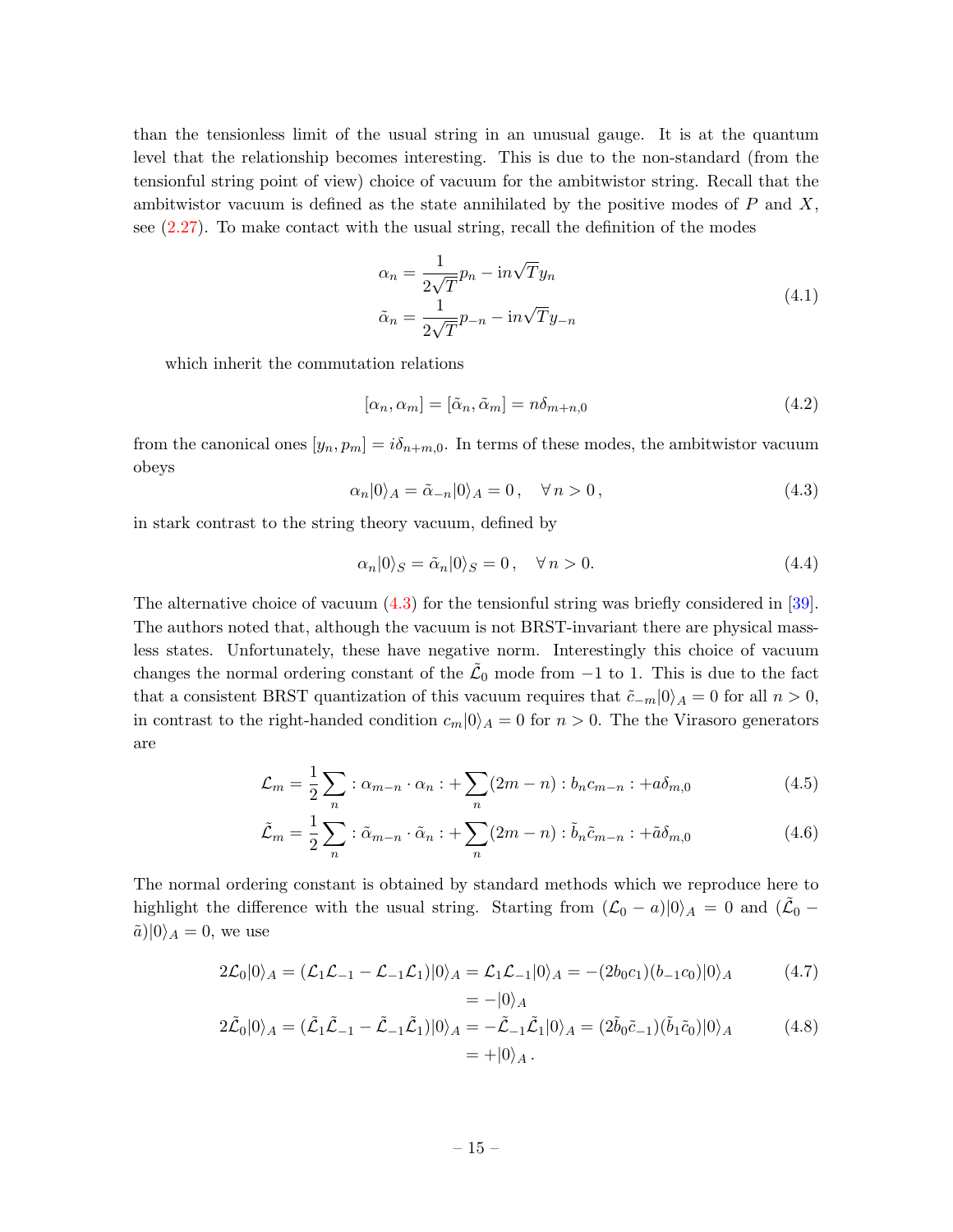than the tensionless limit of the usual string in an unusual gauge. It is at the quantum level that the relationship becomes interesting. This is due to the non-standard (from the tensionful string point of view) choice of vacuum for the ambitwistor string. Recall that the ambitwistor vacuum is defined as the state annihilated by the positive modes of  $P$  and  $X$ , see [\(2.27\)](#page-7-2). To make contact with the usual string, recall the definition of the modes

$$
\alpha_n = \frac{1}{2\sqrt{T}} p_n - \mathrm{i}n\sqrt{T}y_n
$$
  

$$
\tilde{\alpha}_n = \frac{1}{2\sqrt{T}} p_{-n} - \mathrm{i}n\sqrt{T}y_{-n}
$$
 (4.1)

which inherit the commutation relations

$$
[\alpha_n, \alpha_m] = [\tilde{\alpha}_n, \tilde{\alpha}_m] = n\delta_{m+n,0} \tag{4.2}
$$

from the canonical ones  $[y_n, p_m] = i\delta_{n+m,0}$ . In terms of these modes, the ambitwistor vacuum obeys

<span id="page-15-0"></span>
$$
\alpha_n|0\rangle_A = \tilde{\alpha}_{-n}|0\rangle_A = 0, \quad \forall n > 0,
$$
\n(4.3)

in stark contrast to the string theory vacuum, defined by

$$
\alpha_n|0\rangle_S = \tilde{\alpha}_n|0\rangle_S = 0, \quad \forall n > 0. \tag{4.4}
$$

The alternative choice of vacuum [\(4.3\)](#page-15-0) for the tensionful string was briefly considered in [\[39\]](#page-21-8). The authors noted that, although the vacuum is not BRST-invariant there are physical massless states. Unfortunately, these have negative norm. Interestingly this choice of vacuum changes the normal ordering constant of the  $\tilde{\mathcal{L}}_0$  mode from  $-1$  to 1. This is due to the fact that a consistent BRST quantization of this vacuum requires that  $\tilde{c}_{-m}|0\rangle_A = 0$  for all  $n > 0$ , in contrast to the right-handed condition  $c_m|0\rangle_A = 0$  for  $n > 0$ . The the Virasoro generators are

$$
\mathcal{L}_m = \frac{1}{2} \sum_n : \alpha_{m-n} \cdot \alpha_n : + \sum_n (2m-n) : b_n c_{m-n} : +a \delta_{m,0} \tag{4.5}
$$

$$
\tilde{\mathcal{L}}_m = \frac{1}{2} \sum_n : \tilde{\alpha}_{m-n} \cdot \tilde{\alpha}_n : + \sum_n (2m-n) : \tilde{b}_n \tilde{c}_{m-n} : + \tilde{a} \delta_{m,0} \tag{4.6}
$$

The normal ordering constant is obtained by standard methods which we reproduce here to highlight the difference with the usual string. Starting from  $(\mathcal{L}_0 - a)|0\rangle_A = 0$  and  $(\tilde{\mathcal{L}}_0 - a)$  $\tilde{a})|0\rangle_A = 0$ , we use

$$
2\mathcal{L}_0|0\rangle_A = (\mathcal{L}_1\mathcal{L}_{-1} - \mathcal{L}_{-1}\mathcal{L}_1)|0\rangle_A = \mathcal{L}_1\mathcal{L}_{-1}|0\rangle_A = -(2b_0c_1)(b_{-1}c_0)|0\rangle_A \qquad (4.7)
$$

$$
= -|0\rangle_A
$$

$$
2\tilde{\mathcal{L}}_0|0\rangle_A = (\tilde{\mathcal{L}}_1\tilde{\mathcal{L}}_{-1} - \tilde{\mathcal{L}}_{-1}\tilde{\mathcal{L}}_1)|0\rangle_A = -\tilde{\mathcal{L}}_{-1}\tilde{\mathcal{L}}_1|0\rangle_A = (2\tilde{b}_0\tilde{c}_{-1})(\tilde{b}_1\tilde{c}_0)|0\rangle_A
$$
(4.8)  
= +|0\rangle\_A.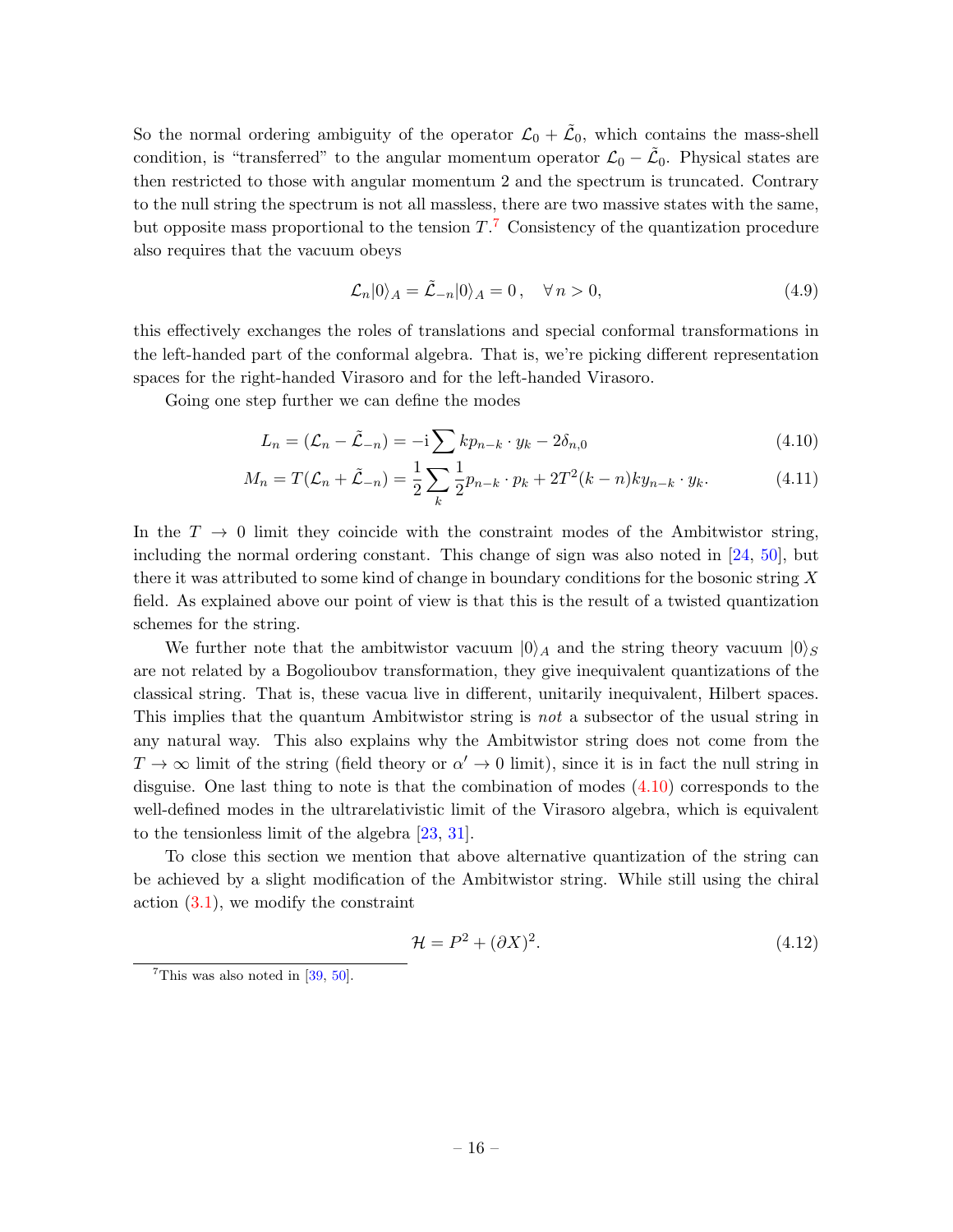So the normal ordering ambiguity of the operator  $\mathcal{L}_0 + \tilde{\mathcal{L}}_0$ , which contains the mass-shell condition, is "transferred" to the angular momentum operator  $\mathcal{L}_0 - \tilde{\mathcal{L}}_0$ . Physical states are then restricted to those with angular momentum 2 and the spectrum is truncated. Contrary to the null string the spectrum is not all massless, there are two massive states with the same, but opposite mass proportional to the tension  $T<sup>7</sup>$  $T<sup>7</sup>$  $T<sup>7</sup>$  Consistency of the quantization procedure also requires that the vacuum obeys

<span id="page-16-1"></span>
$$
\mathcal{L}_n|0\rangle_A = \tilde{\mathcal{L}}_{-n}|0\rangle_A = 0, \quad \forall n > 0,
$$
\n(4.9)

this effectively exchanges the roles of translations and special conformal transformations in the left-handed part of the conformal algebra. That is, we're picking different representation spaces for the right-handed Virasoro and for the left-handed Virasoro.

Going one step further we can define the modes

$$
L_n = (\mathcal{L}_n - \tilde{\mathcal{L}}_{-n}) = -i \sum k p_{n-k} \cdot y_k - 2\delta_{n,0}
$$
 (4.10)

$$
M_n = T(\mathcal{L}_n + \tilde{\mathcal{L}}_{-n}) = \frac{1}{2} \sum_k \frac{1}{2} p_{n-k} \cdot p_k + 2T^2(k-n)ky_{n-k} \cdot y_k.
$$
 (4.11)

In the  $T \to 0$  limit they coincide with the constraint modes of the Ambitwistor string, including the normal ordering constant. This change of sign was also noted in [\[24,](#page-20-13) [50\]](#page-22-1), but there it was attributed to some kind of change in boundary conditions for the bosonic string  $X$ field. As explained above our point of view is that this is the result of a twisted quantization schemes for the string.

We further note that the ambitwistor vacuum  $|0\rangle_A$  and the string theory vacuum  $|0\rangle_S$ are not related by a Bogolioubov transformation, they give inequivalent quantizations of the classical string. That is, these vacua live in different, unitarily inequivalent, Hilbert spaces. This implies that the quantum Ambitwistor string is not a subsector of the usual string in any natural way. This also explains why the Ambitwistor string does not come from the  $T \to \infty$  limit of the string (field theory or  $\alpha' \to 0$  limit), since it is in fact the null string in disguise. One last thing to note is that the combination of modes [\(4.10\)](#page-16-1) corresponds to the well-defined modes in the ultrarelativistic limit of the Virasoro algebra, which is equivalent to the tensionless limit of the algebra [\[23,](#page-20-12) [31\]](#page-21-2).

To close this section we mention that above alternative quantization of the string can be achieved by a slight modification of the Ambitwistor string. While still using the chiral action [\(3.1\)](#page-10-2), we modify the constraint

$$
\mathcal{H} = P^2 + (\partial X)^2. \tag{4.12}
$$

<span id="page-16-0"></span><sup>&</sup>lt;sup>7</sup>This was also noted in  $[39, 50]$  $[39, 50]$  $[39, 50]$ .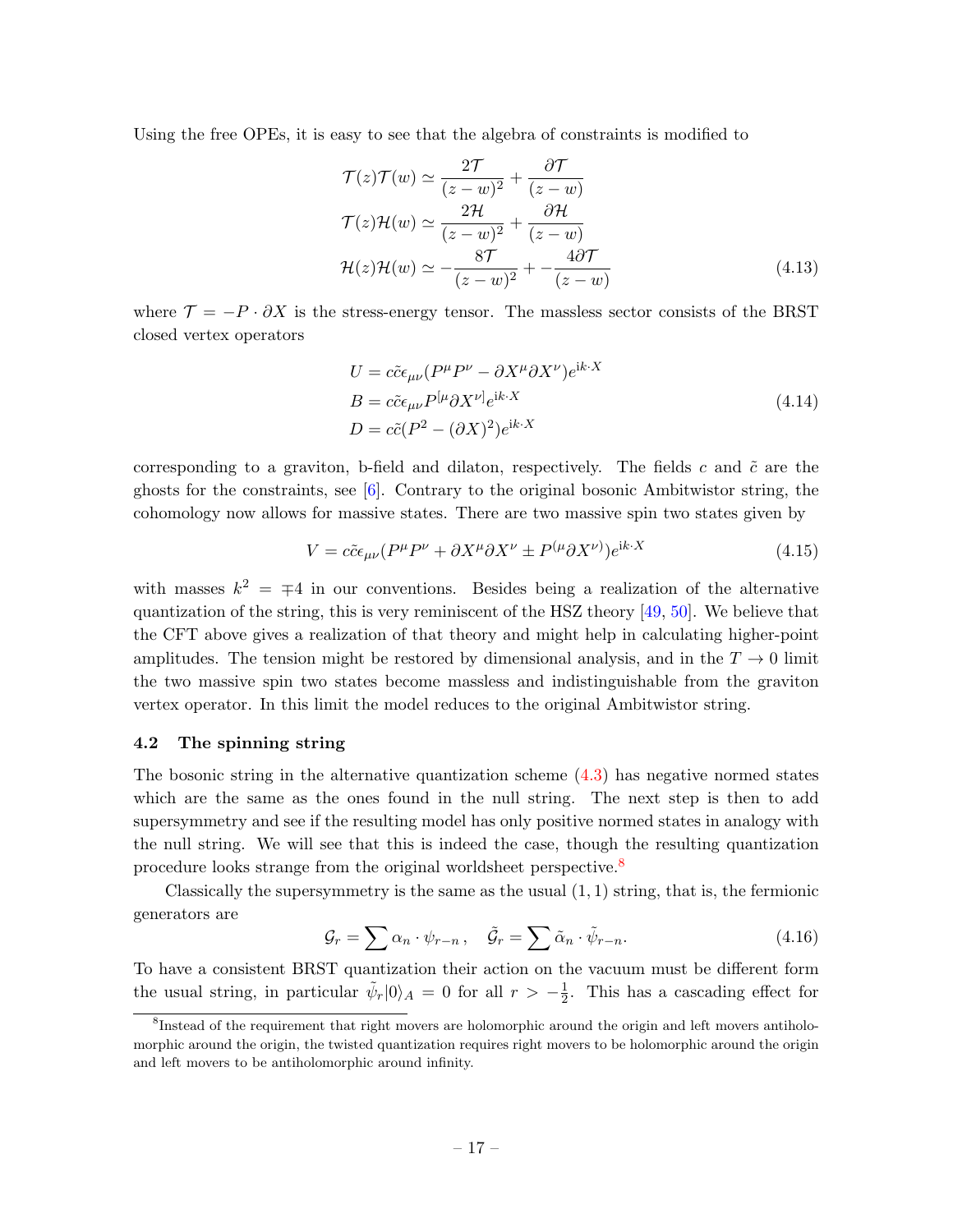Using the free OPEs, it is easy to see that the algebra of constraints is modified to

$$
\mathcal{T}(z)\mathcal{T}(w) \simeq \frac{2\mathcal{T}}{(z-w)^2} + \frac{\partial \mathcal{T}}{(z-w)}
$$
  

$$
\mathcal{T}(z)\mathcal{H}(w) \simeq \frac{2\mathcal{H}}{(z-w)^2} + \frac{\partial \mathcal{H}}{(z-w)}
$$
  

$$
\mathcal{H}(z)\mathcal{H}(w) \simeq -\frac{8\mathcal{T}}{(z-w)^2} + \frac{4\partial \mathcal{T}}{(z-w)}
$$
(4.13)

where  $\mathcal{T} = -P \cdot \partial X$  is the stress-energy tensor. The massless sector consists of the BRST closed vertex operators

$$
U = c\tilde{c}\epsilon_{\mu\nu}(P^{\mu}P^{\nu} - \partial X^{\mu}\partial X^{\nu})e^{ik \cdot X}
$$
  
\n
$$
B = c\tilde{c}\epsilon_{\mu\nu}P^{[\mu}\partial X^{\nu]}e^{ik \cdot X}
$$
  
\n
$$
D = c\tilde{c}(P^2 - (\partial X)^2)e^{ik \cdot X}
$$
\n(4.14)

corresponding to a graviton, b-field and dilaton, respectively. The fields c and  $\tilde{c}$  are the ghosts for the constraints, see  $[6]$ . Contrary to the original bosonic Ambitwistor string, the cohomology now allows for massive states. There are two massive spin two states given by

$$
V = c\tilde{c}\epsilon_{\mu\nu}(P^{\mu}P^{\nu} + \partial X^{\mu}\partial X^{\nu} \pm P^{(\mu}\partial X^{\nu)})e^{ik \cdot X}
$$
\n(4.15)

with masses  $k^2 = \pm 4$  in our conventions. Besides being a realization of the alternative quantization of the string, this is very reminiscent of the HSZ theory [\[49,](#page-22-0) [50\]](#page-22-1). We believe that the CFT above gives a realization of that theory and might help in calculating higher-point amplitudes. The tension might be restored by dimensional analysis, and in the  $T \to 0$  limit the two massive spin two states become massless and indistinguishable from the graviton vertex operator. In this limit the model reduces to the original Ambitwistor string.

#### <span id="page-17-0"></span>4.2 The spinning string

The bosonic string in the alternative quantization scheme  $(4.3)$  has negative normed states which are the same as the ones found in the null string. The next step is then to add supersymmetry and see if the resulting model has only positive normed states in analogy with the null string. We will see that this is indeed the case, though the resulting quantization procedure looks strange from the original worldsheet perspective.<sup>[8](#page-17-1)</sup>

Classically the supersymmetry is the same as the usual  $(1, 1)$  string, that is, the fermionic generators are

$$
\mathcal{G}_r = \sum \alpha_n \cdot \psi_{r-n} , \quad \tilde{\mathcal{G}}_r = \sum \tilde{\alpha}_n \cdot \tilde{\psi}_{r-n} . \tag{4.16}
$$

To have a consistent BRST quantization their action on the vacuum must be different form the usual string, in particular  $\tilde{\psi}_r |0\rangle_A = 0$  for all  $r > -\frac{1}{2}$  $\frac{1}{2}$ . This has a cascading effect for

<span id="page-17-1"></span><sup>&</sup>lt;sup>8</sup>Instead of the requirement that right movers are holomorphic around the origin and left movers antiholomorphic around the origin, the twisted quantization requires right movers to be holomorphic around the origin and left movers to be antiholomorphic around infinity.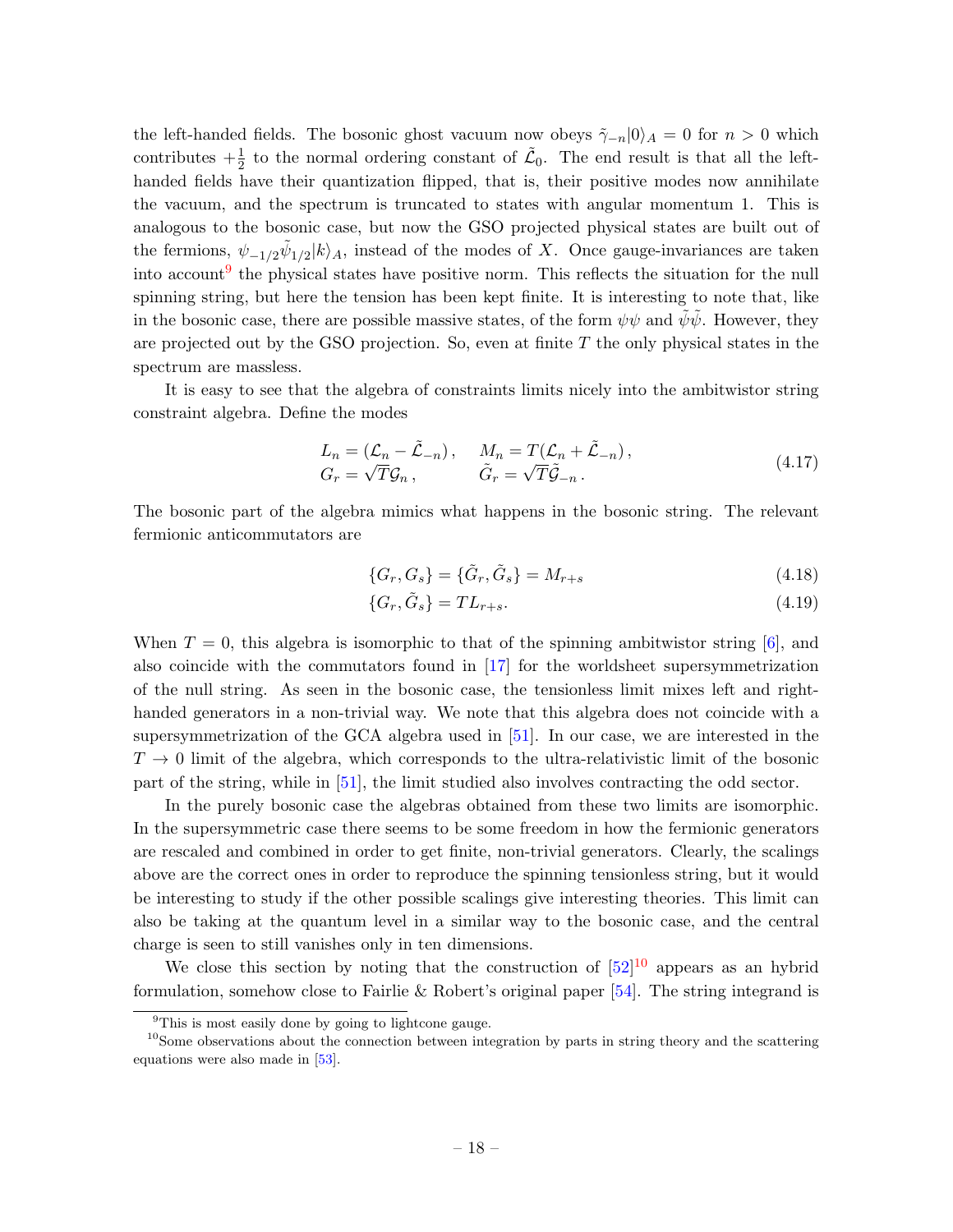the left-handed fields. The bosonic ghost vacuum now obeys  $\tilde{\gamma}_{-n}|0\rangle_A = 0$  for  $n > 0$  which contributes  $+\frac{1}{2}$  to the normal ordering constant of  $\tilde{\mathcal{L}}_0$ . The end result is that all the lefthanded fields have their quantization flipped, that is, their positive modes now annihilate the vacuum, and the spectrum is truncated to states with angular momentum 1. This is analogous to the bosonic case, but now the GSO projected physical states are built out of the fermions,  $\psi_{-1/2} \tilde{\psi}_{1/2} | k \rangle_A$ , instead of the modes of X. Once gauge-invariances are taken into account<sup>[9](#page-18-0)</sup> the physical states have positive norm. This reflects the situation for the null spinning string, but here the tension has been kept finite. It is interesting to note that, like in the bosonic case, there are possible massive states, of the form  $\psi\psi$  and  $\psi\psi$ . However, they are projected out by the GSO projection. So, even at finite  $T$  the only physical states in the spectrum are massless.

It is easy to see that the algebra of constraints limits nicely into the ambitwistor string constraint algebra. Define the modes

$$
L_n = (\mathcal{L}_n - \tilde{\mathcal{L}}_{-n}), \quad M_n = T(\mathcal{L}_n + \tilde{\mathcal{L}}_{-n}),
$$
  
\n
$$
G_r = \sqrt{T} \mathcal{G}_n, \qquad \tilde{G}_r = \sqrt{T} \tilde{\mathcal{G}}_{-n}.
$$
\n(4.17)

The bosonic part of the algebra mimics what happens in the bosonic string. The relevant fermionic anticommutators are

$$
\{G_r, G_s\} = \{\tilde{G}_r, \tilde{G}_s\} = M_{r+s}
$$
\n(4.18)

$$
\{G_r, \tilde{G}_s\} = TL_{r+s}.\tag{4.19}
$$

When  $T = 0$ , this algebra is isomorphic to that of the spinning ambitwistor string [\[6\]](#page-19-3), and also coincide with the commutators found in [\[17\]](#page-20-6) for the worldsheet supersymmetrization of the null string. As seen in the bosonic case, the tensionless limit mixes left and righthanded generators in a non-trivial way. We note that this algebra does not coincide with a supersymmetrization of the GCA algebra used in [\[51\]](#page-22-2). In our case, we are interested in the  $T \rightarrow 0$  limit of the algebra, which corresponds to the ultra-relativistic limit of the bosonic part of the string, while in [\[51\]](#page-22-2), the limit studied also involves contracting the odd sector.

In the purely bosonic case the algebras obtained from these two limits are isomorphic. In the supersymmetric case there seems to be some freedom in how the fermionic generators are rescaled and combined in order to get finite, non-trivial generators. Clearly, the scalings above are the correct ones in order to reproduce the spinning tensionless string, but it would be interesting to study if the other possible scalings give interesting theories. This limit can also be taking at the quantum level in a similar way to the bosonic case, and the central charge is seen to still vanishes only in ten dimensions.

We close this section by noting that the construction of  $[52]^{10}$  $[52]^{10}$  $[52]^{10}$  $[52]^{10}$  appears as an hybrid formulation, somehow close to Fairlie & Robert's original paper [\[54\]](#page-22-4). The string integrand is

<span id="page-18-1"></span><span id="page-18-0"></span><sup>&</sup>lt;sup>9</sup>This is most easily done by going to lightcone gauge.

 $10$ Some observations about the connection between integration by parts in string theory and the scattering equations were also made in [\[53\]](#page-22-5).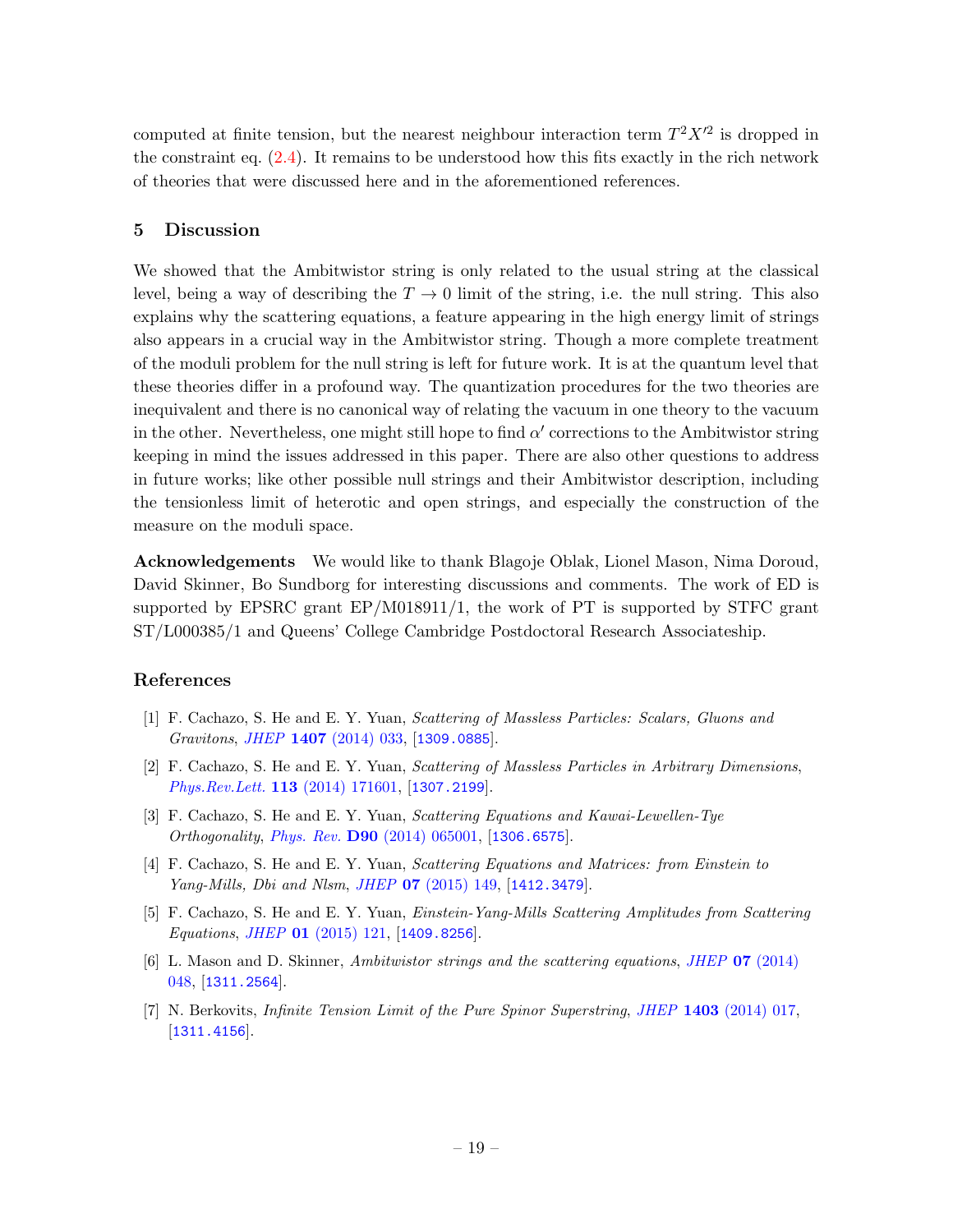computed at finite tension, but the nearest neighbour interaction term  $T^2 X'^2$  is dropped in the constraint eq.  $(2.4)$ . It remains to be understood how this fits exactly in the rich network of theories that were discussed here and in the aforementioned references.

# <span id="page-19-0"></span>5 Discussion

We showed that the Ambitwistor string is only related to the usual string at the classical level, being a way of describing the  $T \to 0$  limit of the string, i.e. the null string. This also explains why the scattering equations, a feature appearing in the high energy limit of strings also appears in a crucial way in the Ambitwistor string. Though a more complete treatment of the moduli problem for the null string is left for future work. It is at the quantum level that these theories differ in a profound way. The quantization procedures for the two theories are inequivalent and there is no canonical way of relating the vacuum in one theory to the vacuum in the other. Nevertheless, one might still hope to find  $\alpha'$  corrections to the Ambitwistor string keeping in mind the issues addressed in this paper. There are also other questions to address in future works; like other possible null strings and their Ambitwistor description, including the tensionless limit of heterotic and open strings, and especially the construction of the measure on the moduli space.

Acknowledgements We would like to thank Blagoje Oblak, Lionel Mason, Nima Doroud, David Skinner, Bo Sundborg for interesting discussions and comments. The work of ED is supported by EPSRC grant EP/M018911/1, the work of PT is supported by STFC grant ST/L000385/1 and Queens' College Cambridge Postdoctoral Research Associateship.

# References

- <span id="page-19-1"></span>[1] F. Cachazo, S. He and E. Y. Yuan, Scattering of Massless Particles: Scalars, Gluons and Gravitons, JHEP 1407 [\(2014\) 033,](http://dx.doi.org/10.1007/JHEP07(2014)033) [[1309.0885](http://arxiv.org/abs/1309.0885)].
- [2] F. Cachazo, S. He and E. Y. Yuan, Scattering of Massless Particles in Arbitrary Dimensions, [Phys.Rev.Lett.](http://dx.doi.org/10.1103/PhysRevLett.113.171601) 113 (2014) 171601, [[1307.2199](http://arxiv.org/abs/1307.2199)].
- [3] F. Cachazo, S. He and E. Y. Yuan, Scattering Equations and Kawai-Lewellen-Tye Orthogonality, Phys. Rev. D90 [\(2014\) 065001,](http://dx.doi.org/10.1103/PhysRevD.90.065001) [[1306.6575](http://arxiv.org/abs/1306.6575)].
- <span id="page-19-5"></span>[4] F. Cachazo, S. He and E. Y. Yuan, Scattering Equations and Matrices: from Einstein to Yang-Mills, Dbi and Nlsm, JHEP 07 [\(2015\) 149,](http://dx.doi.org/10.1007/JHEP07(2015)149) [[1412.3479](http://arxiv.org/abs/1412.3479)].
- <span id="page-19-2"></span>[5] F. Cachazo, S. He and E. Y. Yuan, Einstein-Yang-Mills Scattering Amplitudes from Scattering Equations, JHEP 01 [\(2015\) 121,](http://dx.doi.org/10.1007/JHEP01(2015)121) [[1409.8256](http://arxiv.org/abs/1409.8256)].
- <span id="page-19-3"></span>[6] L. Mason and D. Skinner, Ambitwistor strings and the scattering equations, JHEP 07 [\(2014\)](http://dx.doi.org/10.1007/JHEP07(2014)048) [048,](http://dx.doi.org/10.1007/JHEP07(2014)048) [[1311.2564](http://arxiv.org/abs/1311.2564)].
- <span id="page-19-4"></span>[7] N. Berkovits, *Infinite Tension Limit of the Pure Spinor Superstring*, *JHEP* 1403 [\(2014\) 017,](http://dx.doi.org/10.1007/JHEP03(2014)017) [[1311.4156](http://arxiv.org/abs/1311.4156)].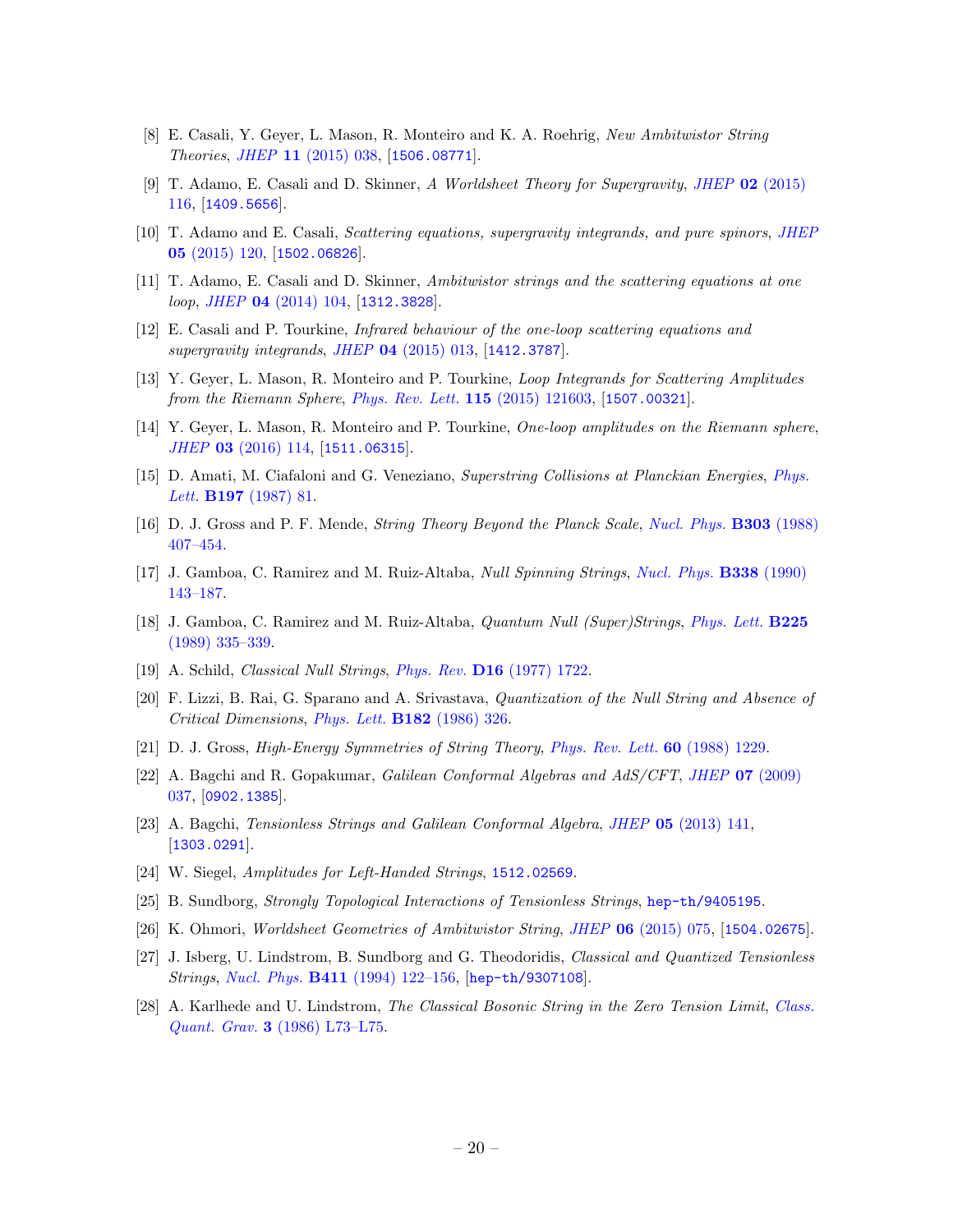- <span id="page-20-0"></span>[8] E. Casali, Y. Geyer, L. Mason, R. Monteiro and K. A. Roehrig, New Ambitwistor String Theories, JHEP 11 [\(2015\) 038,](http://dx.doi.org/10.1007/JHEP11(2015)038) [[1506.08771](http://arxiv.org/abs/1506.08771)].
- <span id="page-20-18"></span>[9] T. Adamo, E. Casali and D. Skinner, A Worldsheet Theory for Supergravity, JHEP 02 [\(2015\)](http://dx.doi.org/10.1007/JHEP02(2015)116) [116,](http://dx.doi.org/10.1007/JHEP02(2015)116) [[1409.5656](http://arxiv.org/abs/1409.5656)].
- <span id="page-20-1"></span>[10] T. Adamo and E. Casali, Scattering equations, supergravity integrands, and pure spinors, [JHEP](http://dx.doi.org/10.1007/JHEP05(2015)120) 05 [\(2015\) 120,](http://dx.doi.org/10.1007/JHEP05(2015)120) [[1502.06826](http://arxiv.org/abs/1502.06826)].
- <span id="page-20-2"></span>[11] T. Adamo, E. Casali and D. Skinner, Ambitwistor strings and the scattering equations at one loop, JHEP 04 [\(2014\) 104,](http://dx.doi.org/10.1007/JHEP04(2014)104) [[1312.3828](http://arxiv.org/abs/1312.3828)].
- [12] E. Casali and P. Tourkine, Infrared behaviour of the one-loop scattering equations and supergravity integrands, JHEP 04 [\(2015\) 013,](http://dx.doi.org/10.1007/JHEP04(2015)013) [[1412.3787](http://arxiv.org/abs/1412.3787)].
- [13] Y. Geyer, L. Mason, R. Monteiro and P. Tourkine, Loop Integrands for Scattering Amplitudes from the Riemann Sphere, [Phys. Rev. Lett.](http://dx.doi.org/10.1103/PhysRevLett.115.121603) 115 (2015) 121603, [[1507.00321](http://arxiv.org/abs/1507.00321)].
- <span id="page-20-3"></span>[14] Y. Geyer, L. Mason, R. Monteiro and P. Tourkine, One-loop amplitudes on the Riemann sphere, JHEP 03 [\(2016\) 114,](http://dx.doi.org/10.1007/JHEP03(2016)114) [[1511.06315](http://arxiv.org/abs/1511.06315)].
- <span id="page-20-4"></span>[15] D. Amati, M. Ciafaloni and G. Veneziano, Superstring Collisions at Planckian Energies, [Phys.](http://dx.doi.org/10.1016/0370-2693(87)90346-7) Lett. **B197** [\(1987\) 81.](http://dx.doi.org/10.1016/0370-2693(87)90346-7)
- <span id="page-20-5"></span>[16] D. J. Gross and P. F. Mende, String Theory Beyond the Planck Scale, [Nucl. Phys.](http://dx.doi.org/10.1016/0550-3213(88)90390-2) B303 (1988) [407–454.](http://dx.doi.org/10.1016/0550-3213(88)90390-2)
- <span id="page-20-6"></span>[17] J. Gamboa, C. Ramirez and M. Ruiz-Altaba, Null Spinning Strings, [Nucl. Phys.](http://dx.doi.org/10.1016/0550-3213(90)90627-P) B338 (1990) [143–187.](http://dx.doi.org/10.1016/0550-3213(90)90627-P)
- <span id="page-20-7"></span>[18] J. Gamboa, C. Ramirez and M. Ruiz-Altaba, Quantum Null (Super)Strings, [Phys. Lett.](http://dx.doi.org/10.1016/0370-2693(89)90578-9) B225 [\(1989\) 335–339.](http://dx.doi.org/10.1016/0370-2693(89)90578-9)
- <span id="page-20-8"></span>[19] A. Schild, Classical Null Strings, Phys. Rev. D16 [\(1977\) 1722.](http://dx.doi.org/10.1103/PhysRevD.16.1722)
- <span id="page-20-9"></span>[20] F. Lizzi, B. Rai, G. Sparano and A. Srivastava, Quantization of the Null String and Absence of Critical Dimensions, [Phys. Lett.](http://dx.doi.org/10.1016/0370-2693(86)90101-2) B182 (1986) 326.
- <span id="page-20-10"></span>[21] D. J. Gross, High-Energy Symmetries of String Theory, [Phys. Rev. Lett.](http://dx.doi.org/10.1103/PhysRevLett.60.1229) 60 (1988) 1229.
- <span id="page-20-11"></span>[22] A. Bagchi and R. Gopakumar, Galilean Conformal Algebras and AdS/CFT, JHEP 07 [\(2009\)](http://dx.doi.org/10.1088/1126-6708/2009/07/037) [037,](http://dx.doi.org/10.1088/1126-6708/2009/07/037) [[0902.1385](http://arxiv.org/abs/0902.1385)].
- <span id="page-20-12"></span>[23] A. Bagchi, Tensionless Strings and Galilean Conformal Algebra, JHEP 05 [\(2013\) 141,](http://dx.doi.org/10.1007/JHEP05(2013)141) [[1303.0291](http://arxiv.org/abs/1303.0291)].
- <span id="page-20-13"></span>[24] W. Siegel, Amplitudes for Left-Handed Strings, [1512.02569](http://arxiv.org/abs/1512.02569).
- <span id="page-20-14"></span>[25] B. Sundborg, Strongly Topological Interactions of Tensionless Strings, [hep-th/9405195](http://arxiv.org/abs/hep-th/9405195).
- <span id="page-20-15"></span>[26] K. Ohmori, Worldsheet Geometries of Ambitwistor String, JHEP 06 [\(2015\) 075,](http://dx.doi.org/10.1007/JHEP06(2015)075) [[1504.02675](http://arxiv.org/abs/1504.02675)].
- <span id="page-20-16"></span>[27] J. Isberg, U. Lindstrom, B. Sundborg and G. Theodoridis, Classical and Quantized Tensionless Strings, Nucl. Phys. B411 [\(1994\) 122–156,](http://dx.doi.org/10.1016/0550-3213(94)90056-6) [[hep-th/9307108](http://arxiv.org/abs/hep-th/9307108)].
- <span id="page-20-17"></span>[28] A. Karlhede and U. Lindstrom, The Classical Bosonic String in the Zero Tension Limit, [Class.](http://dx.doi.org/10.1088/0264-9381/3/4/002) Quant. Grav. 3 [\(1986\) L73–L75.](http://dx.doi.org/10.1088/0264-9381/3/4/002)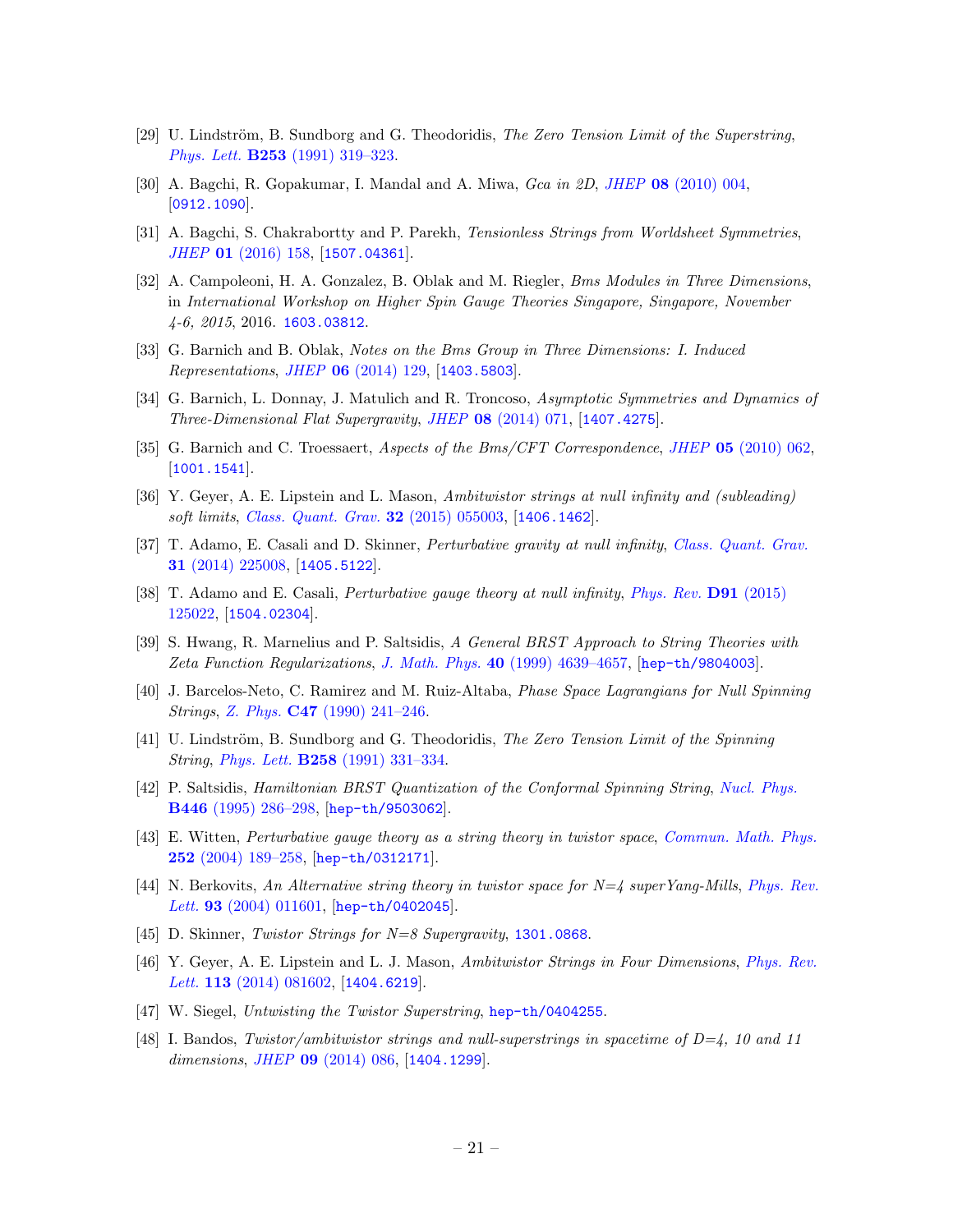- <span id="page-21-0"></span>[29] U. Lindström, B. Sundborg and G. Theodoridis, The Zero Tension Limit of the Superstring, Phys. Lett. B253 [\(1991\) 319–323.](http://dx.doi.org/10.1016/0370-2693(91)91726-C)
- <span id="page-21-1"></span>[30] A. Bagchi, R. Gopakumar, I. Mandal and A. Miwa, Gca in 2D, JHEP 08 [\(2010\) 004,](http://dx.doi.org/10.1007/JHEP08(2010)004) [[0912.1090](http://arxiv.org/abs/0912.1090)].
- <span id="page-21-2"></span>[31] A. Bagchi, S. Chakrabortty and P. Parekh, Tensionless Strings from Worldsheet Symmetries, JHEP 01 [\(2016\) 158,](http://dx.doi.org/10.1007/JHEP01(2016)158) [[1507.04361](http://arxiv.org/abs/1507.04361)].
- <span id="page-21-3"></span>[32] A. Campoleoni, H. A. Gonzalez, B. Oblak and M. Riegler, Bms Modules in Three Dimensions, in International Workshop on Higher Spin Gauge Theories Singapore, Singapore, November 4-6, 2015, 2016. [1603.03812](http://arxiv.org/abs/1603.03812).
- [33] G. Barnich and B. Oblak, Notes on the Bms Group in Three Dimensions: I. Induced Representations, JHEP 06 [\(2014\) 129,](http://dx.doi.org/10.1007/JHEP06(2014)129) [[1403.5803](http://arxiv.org/abs/1403.5803)].
- [34] G. Barnich, L. Donnay, J. Matulich and R. Troncoso, Asymptotic Symmetries and Dynamics of Three-Dimensional Flat Supergravity, JHEP 08 [\(2014\) 071,](http://dx.doi.org/10.1007/JHEP08(2014)071) [[1407.4275](http://arxiv.org/abs/1407.4275)].
- <span id="page-21-4"></span>[35] G. Barnich and C. Troessaert, Aspects of the Bms/CFT Correspondence, JHEP 05 [\(2010\) 062,](http://dx.doi.org/10.1007/JHEP05(2010)062) [[1001.1541](http://arxiv.org/abs/1001.1541)].
- <span id="page-21-5"></span>[36] Y. Geyer, A. E. Lipstein and L. Mason, Ambitwistor strings at null infinity and (subleading) soft limits, [Class. Quant. Grav.](http://dx.doi.org/10.1088/0264-9381/32/5/055003) 32 (2015) 055003, [[1406.1462](http://arxiv.org/abs/1406.1462)].
- <span id="page-21-6"></span>[37] T. Adamo, E. Casali and D. Skinner, Perturbative gravity at null infinity, [Class. Quant. Grav.](http://dx.doi.org/10.1088/0264-9381/31/22/225008) 31 [\(2014\) 225008,](http://dx.doi.org/10.1088/0264-9381/31/22/225008) [[1405.5122](http://arxiv.org/abs/1405.5122)].
- <span id="page-21-7"></span>[38] T. Adamo and E. Casali, Perturbative gauge theory at null infinity, [Phys. Rev.](http://dx.doi.org/10.1103/PhysRevD.91.125022) D91 (2015) [125022,](http://dx.doi.org/10.1103/PhysRevD.91.125022) [[1504.02304](http://arxiv.org/abs/1504.02304)].
- <span id="page-21-8"></span>[39] S. Hwang, R. Marnelius and P. Saltsidis, A General BRST Approach to String Theories with Zeta Function Regularizations, J. Math. Phys. 40 [\(1999\) 4639–4657,](http://dx.doi.org/10.1063/1.532994) [[hep-th/9804003](http://arxiv.org/abs/hep-th/9804003)].
- <span id="page-21-9"></span>[40] J. Barcelos-Neto, C. Ramirez and M. Ruiz-Altaba, Phase Space Lagrangians for Null Spinning Strings, Z. Phys. C47 [\(1990\) 241–246.](http://dx.doi.org/10.1007/BF01552345)
- <span id="page-21-10"></span>[41] U. Lindström, B. Sundborg and G. Theodoridis, The Zero Tension Limit of the Spinning String, Phys. Lett. B258 [\(1991\) 331–334.](http://dx.doi.org/10.1016/0370-2693(91)91094-C)
- <span id="page-21-11"></span>[42] P. Saltsidis, Hamiltonian BRST Quantization of the Conformal Spinning String, [Nucl. Phys.](http://dx.doi.org/10.1016/0550-3213(95)00243-L) B446 [\(1995\) 286–298,](http://dx.doi.org/10.1016/0550-3213(95)00243-L) [[hep-th/9503062](http://arxiv.org/abs/hep-th/9503062)].
- <span id="page-21-12"></span>[43] E. Witten, Perturbative gauge theory as a string theory in twistor space, [Commun. Math. Phys.](http://dx.doi.org/10.1007/s00220-004-1187-3) 252 [\(2004\) 189–258,](http://dx.doi.org/10.1007/s00220-004-1187-3) [[hep-th/0312171](http://arxiv.org/abs/hep-th/0312171)].
- [44] N. Berkovits, An Alternative string theory in twistor space for  $N=4$  superYang-Mills, [Phys. Rev.](http://dx.doi.org/10.1103/PhysRevLett.93.011601) Lett. 93 [\(2004\) 011601,](http://dx.doi.org/10.1103/PhysRevLett.93.011601) [[hep-th/0402045](http://arxiv.org/abs/hep-th/0402045)].
- [45] D. Skinner, Twistor Strings for N=8 Supergravity, [1301.0868](http://arxiv.org/abs/1301.0868).
- <span id="page-21-13"></span>[46] Y. Geyer, A. E. Lipstein and L. J. Mason, Ambitwistor Strings in Four Dimensions, [Phys. Rev.](http://dx.doi.org/10.1103/PhysRevLett.113.081602) Lett. **113** [\(2014\) 081602,](http://dx.doi.org/10.1103/PhysRevLett.113.081602) [[1404.6219](http://arxiv.org/abs/1404.6219)].
- <span id="page-21-14"></span>[47] W. Siegel, Untwisting the Twistor Superstring, [hep-th/0404255](http://arxiv.org/abs/hep-th/0404255).
- <span id="page-21-15"></span>[48] I. Bandos, Twistor/ambitwistor strings and null-superstrings in spacetime of  $D=4$ , 10 and 11 dimensions, JHEP  $09$  [\(2014\) 086,](http://dx.doi.org/10.1007/JHEP09(2014)086) [[1404.1299](http://arxiv.org/abs/1404.1299)].